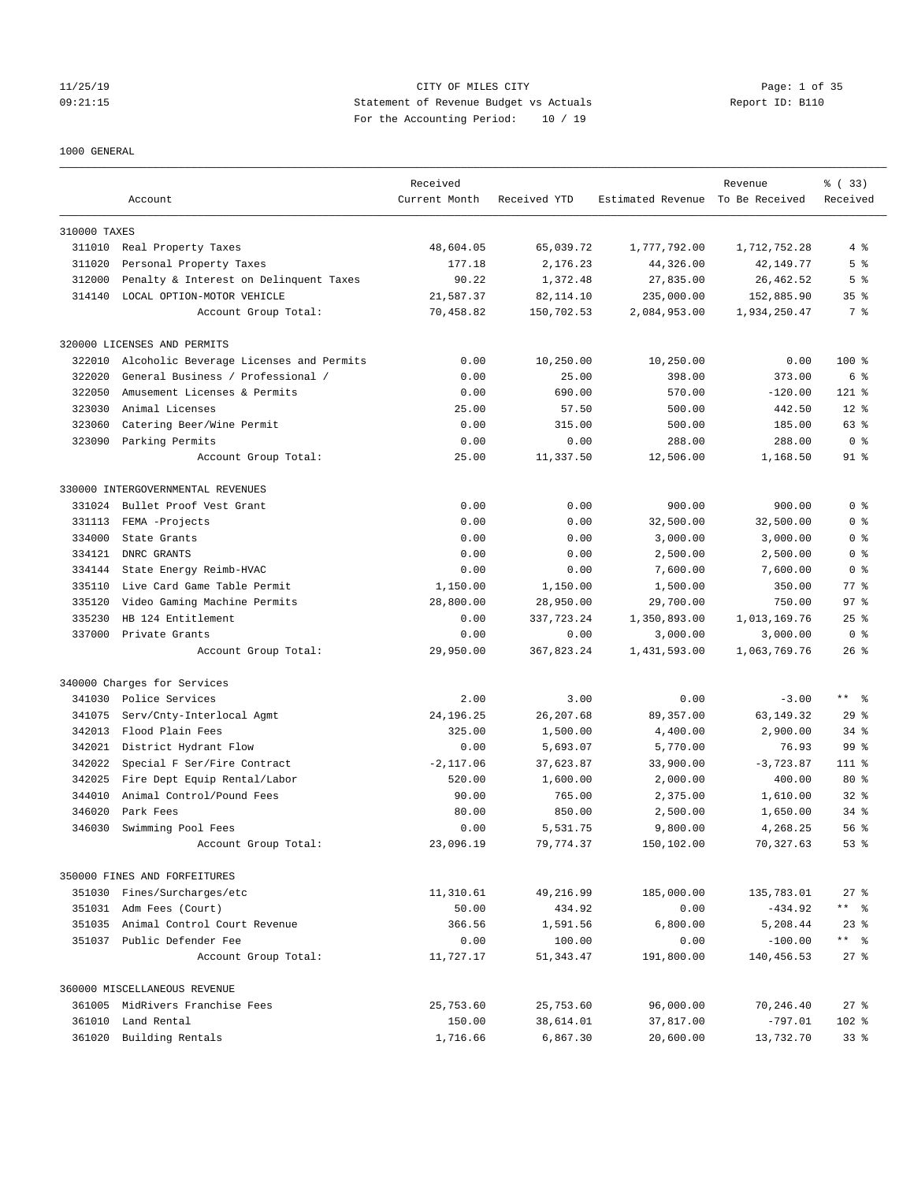### 11/25/19 CITY OF MILES CITY Page: 1 of 35 09:21:15 Statement of Revenue Budget vs Actuals Report ID: B110 For the Accounting Period: 10 / 19

### 1000 GENERAL

|              | Account                                 | Received<br>Current Month | Received YTD | Estimated Revenue To Be Received | Revenue      | % (33)<br>Received |
|--------------|-----------------------------------------|---------------------------|--------------|----------------------------------|--------------|--------------------|
| 310000 TAXES |                                         |                           |              |                                  |              |                    |
|              | 311010 Real Property Taxes              | 48,604.05                 | 65,039.72    | 1,777,792.00                     | 1,712,752.28 | 4%                 |
| 311020       | Personal Property Taxes                 | 177.18                    | 2,176.23     | 44,326.00                        | 42, 149. 77  | 5 <sup>°</sup>     |
| 312000       | Penalty & Interest on Delinquent Taxes  | 90.22                     | 1,372.48     | 27,835.00                        | 26, 462.52   | 5 <sup>°</sup>     |
| 314140       | LOCAL OPTION-MOTOR VEHICLE              | 21,587.37                 | 82, 114.10   | 235,000.00                       | 152,885.90   | 35 <sup>8</sup>    |
|              | Account Group Total:                    | 70,458.82                 | 150,702.53   | 2,084,953.00                     | 1,934,250.47 | 7 %                |
|              | 320000 LICENSES AND PERMITS             |                           |              |                                  |              |                    |
| 322010       | Alcoholic Beverage Licenses and Permits | 0.00                      | 10,250.00    | 10,250.00                        | 0.00         | $100$ %            |
| 322020       | General Business / Professional /       | 0.00                      | 25.00        | 398.00                           | 373.00       | 6 %                |
| 322050       | Amusement Licenses & Permits            | 0.00                      | 690.00       | 570.00                           | $-120.00$    | $121$ %            |
| 323030       | Animal Licenses                         | 25.00                     | 57.50        | 500.00                           | 442.50       | $12*$              |
| 323060       | Catering Beer/Wine Permit               | 0.00                      | 315.00       | 500.00                           | 185.00       | 63 %               |
| 323090       | Parking Permits                         | 0.00                      | 0.00         | 288.00                           | 288.00       | 0 <sup>8</sup>     |
|              | Account Group Total:                    | 25.00                     | 11,337.50    | 12,506.00                        | 1,168.50     | 91 %               |
|              | 330000 INTERGOVERNMENTAL REVENUES       |                           |              |                                  |              |                    |
| 331024       | Bullet Proof Vest Grant                 | 0.00                      | 0.00         | 900.00                           | 900.00       | 0 <sup>8</sup>     |
| 331113       | FEMA -Projects                          | 0.00                      | 0.00         | 32,500.00                        | 32,500.00    | 0 <sup>8</sup>     |
| 334000       | State Grants                            | 0.00                      | 0.00         | 3,000.00                         | 3,000.00     | 0 <sup>8</sup>     |
| 334121       | DNRC GRANTS                             | 0.00                      | 0.00         | 2,500.00                         | 2,500.00     | 0 <sup>8</sup>     |
| 334144       | State Energy Reimb-HVAC                 | 0.00                      | 0.00         | 7,600.00                         | 7,600.00     | 0 <sup>8</sup>     |
| 335110       | Live Card Game Table Permit             | 1,150.00                  | 1,150.00     | 1,500.00                         | 350.00       | $77$ $%$           |
| 335120       | Video Gaming Machine Permits            | 28,800.00                 | 28,950.00    | 29,700.00                        | 750.00       | 97 <sub>8</sub>    |
| 335230       | HB 124 Entitlement                      | 0.00                      | 337, 723.24  | 1,350,893.00                     | 1,013,169.76 | $25$ $%$           |
| 337000       | Private Grants                          | 0.00                      | 0.00         | 3,000.00                         | 3,000.00     | 0 <sup>8</sup>     |
|              | Account Group Total:                    | 29,950.00                 | 367,823.24   | 1,431,593.00                     | 1,063,769.76 | $26$ %             |
|              | 340000 Charges for Services             |                           |              |                                  |              |                    |
| 341030       | Police Services                         | 2.00                      | 3.00         | 0.00                             | $-3.00$      | $***$ $ -$         |
| 341075       | Serv/Cnty-Interlocal Agmt               | 24, 196. 25               | 26, 207.68   | 89, 357.00                       | 63, 149. 32  | 29%                |
| 342013       | Flood Plain Fees                        | 325.00                    | 1,500.00     | 4,400.00                         | 2,900.00     | $34$ $%$           |
| 342021       | District Hydrant Flow                   | 0.00                      | 5,693.07     | 5,770.00                         | 76.93        | 99 %               |
| 342022       | Special F Ser/Fire Contract             | $-2, 117.06$              | 37,623.87    | 33,900.00                        | $-3,723.87$  | $111$ %            |
| 342025       | Fire Dept Equip Rental/Labor            | 520.00                    | 1,600.00     | 2,000.00                         | 400.00       | $80*$              |
| 344010       | Animal Control/Pound Fees               | 90.00                     | 765.00       | 2,375.00                         | 1,610.00     | $32*$              |
| 346020       | Park Fees                               | 80.00                     | 850.00       | 2,500.00                         | 1,650.00     | $34$ $%$           |
| 346030       | Swimming Pool Fees                      | 0.00                      | 5,531.75     | 9,800.00                         | 4,268.25     | 56%                |
|              | Account Group Total:                    | 23,096.19                 | 79,774.37    | 150,102.00                       | 70,327.63    | 53%                |
|              | 350000 FINES AND FORFEITURES            |                           |              |                                  |              |                    |
|              | 351030 Fines/Surcharges/etc             | 11,310.61                 | 49,216.99    | 185,000.00                       | 135,783.01   | $27$ %             |
|              | 351031 Adm Fees (Court)                 | 50.00                     | 434.92       | 0.00                             | $-434.92$    | ** %               |
|              | 351035 Animal Control Court Revenue     | 366.56                    | 1,591.56     | 6,800.00                         | 5,208.44     | $23$ $%$           |
|              | 351037 Public Defender Fee              | 0.00                      | 100.00       | 0.00                             | $-100.00$    | ** 8               |
|              | Account Group Total:                    | 11,727.17                 | 51,343.47    | 191,800.00                       | 140,456.53   | $27$ %             |
|              | 360000 MISCELLANEOUS REVENUE            |                           |              |                                  |              |                    |
|              | 361005 MidRivers Franchise Fees         | 25,753.60                 | 25,753.60    | 96,000.00                        | 70,246.40    | $27$ %             |
|              | 361010 Land Rental                      | 150.00                    | 38,614.01    | 37,817.00                        | $-797.01$    | 102 %              |
|              | 361020 Building Rentals                 | 1,716.66                  | 6,867.30     | 20,600.00                        | 13,732.70    | 33 <sup>8</sup>    |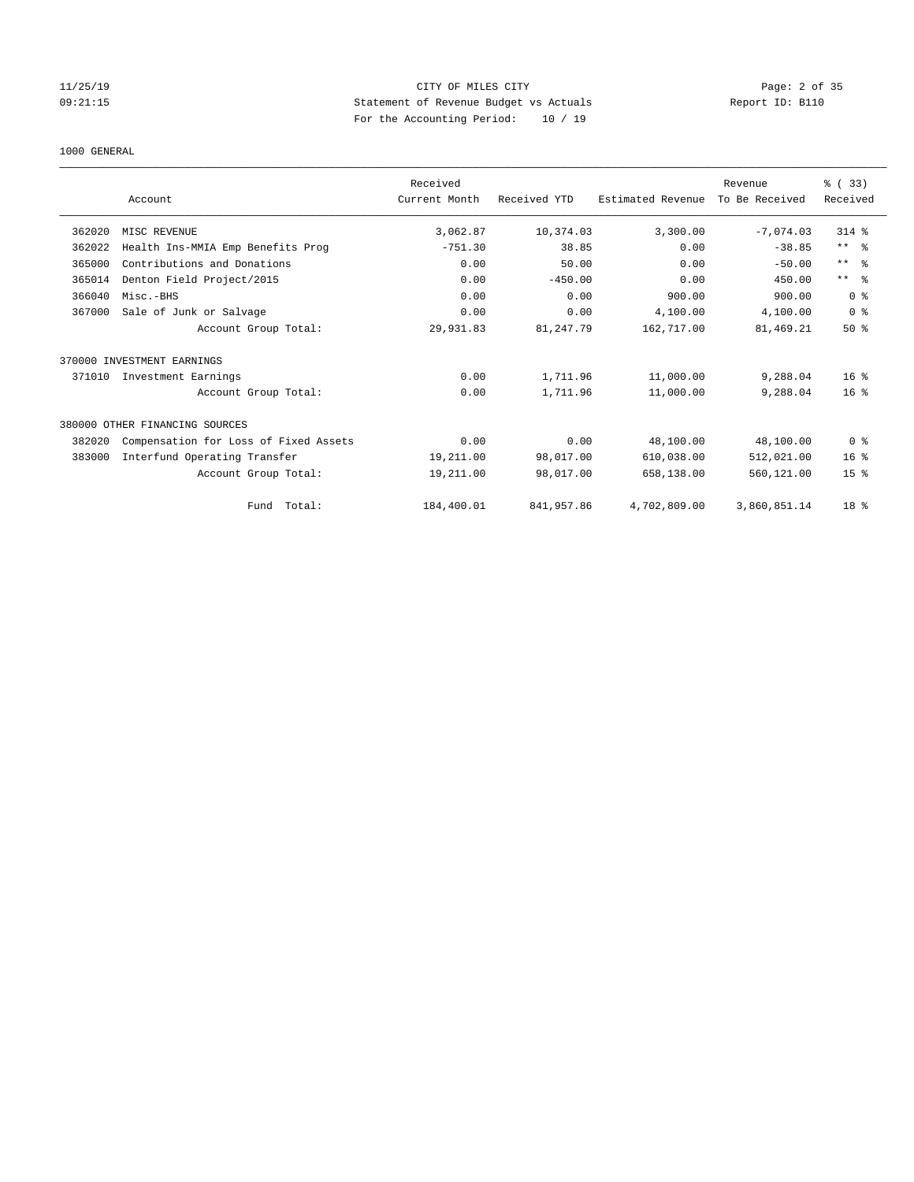# 11/25/19 Page: 2 of 35 09:21:15 Statement of Revenue Budget vs Actuals Report ID: B110 For the Accounting Period: 10 / 19

### 1000 GENERAL

|        |                                       | Received      |              |                   | Revenue        | % (33)          |
|--------|---------------------------------------|---------------|--------------|-------------------|----------------|-----------------|
|        | Account                               | Current Month | Received YTD | Estimated Revenue | To Be Received | Received        |
| 362020 | MISC REVENUE                          | 3,062.87      | 10,374.03    | 3,300.00          | $-7,074.03$    | 314 %           |
| 362022 | Health Ins-MMIA Emp Benefits Prog     | $-751.30$     | 38.85        | 0.00              | $-38.85$       | $***$ $ -$      |
| 365000 | Contributions and Donations           | 0.00          | 50.00        | 0.00              | $-50.00$       | $***$ $ -$      |
| 365014 | Denton Field Project/2015             | 0.00          | $-450.00$    | 0.00              | 450.00         | $***$ $=$       |
| 366040 | Misc.-BHS                             | 0.00          | 0.00         | 900.00            | 900.00         | 0 <sup>8</sup>  |
| 367000 | Sale of Junk or Salvage               | 0.00          | 0.00         | 4,100.00          | 4,100.00       | 0 <sup>8</sup>  |
|        | Account Group Total:                  | 29,931.83     | 81,247.79    | 162,717.00        | 81, 469.21     | $50*$           |
|        | 370000 INVESTMENT EARNINGS            |               |              |                   |                |                 |
| 371010 | Investment Earnings                   | 0.00          | 1,711.96     | 11,000.00         | 9,288.04       | $16*$           |
|        | Account Group Total:                  | 0.00          | 1,711.96     | 11,000.00         | 9,288.04       | 16 <sup>8</sup> |
|        | 380000 OTHER FINANCING SOURCES        |               |              |                   |                |                 |
| 382020 | Compensation for Loss of Fixed Assets | 0.00          | 0.00         | 48,100.00         | 48,100.00      | 0 <sup>8</sup>  |
| 383000 | Interfund Operating Transfer          | 19,211.00     | 98,017.00    | 610,038.00        | 512,021.00     | 16 <sup>8</sup> |
|        | Account Group Total:                  | 19,211.00     | 98,017.00    | 658,138.00        | 560,121.00     | 15 <sup>8</sup> |
|        | Total:<br>Fund                        | 184,400.01    | 841,957.86   | 4,702,809.00      | 3,860,851.14   | 18 <sup>°</sup> |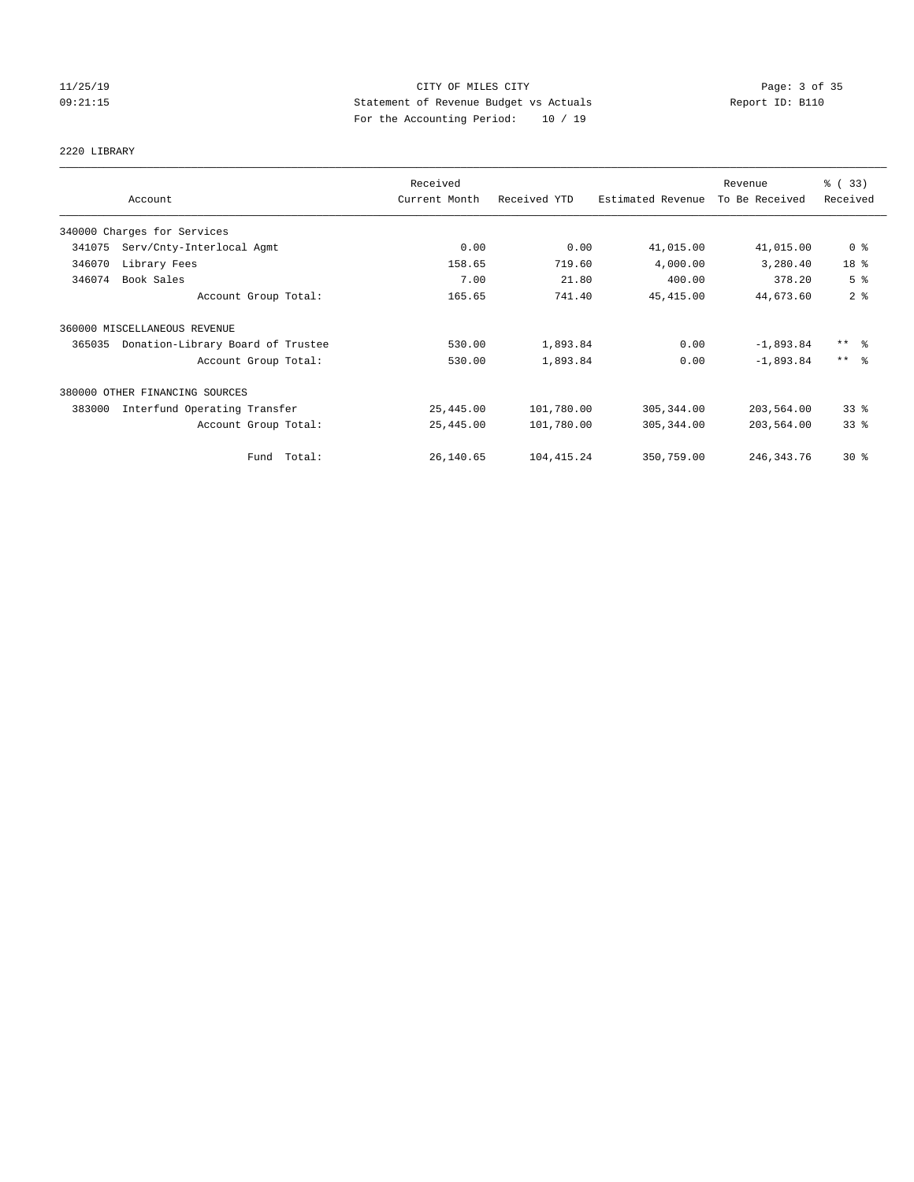# 11/25/19 Page: 3 of 35 09:21:15 Statement of Revenue Budget vs Actuals Report ID: B110 For the Accounting Period: 10 / 19

# 2220 LIBRARY

|        |                                   | Received      |              |                   | Revenue        | % (33)              |
|--------|-----------------------------------|---------------|--------------|-------------------|----------------|---------------------|
|        | Account                           | Current Month | Received YTD | Estimated Revenue | To Be Received | Received            |
|        | 340000 Charges for Services       |               |              |                   |                |                     |
| 341075 | Serv/Cnty-Interlocal Agmt         | 0.00          | 0.00         | 41,015.00         | 41,015.00      | 0 <sup>8</sup>      |
| 346070 | Library Fees                      | 158.65        | 719.60       | 4,000.00          | 3,280.40       | 18 <sup>8</sup>     |
| 346074 | Book Sales                        | 7.00          | 21.80        | 400.00            | 378.20         | 5 <sup>8</sup>      |
|        | Account Group Total:              | 165.65        | 741.40       | 45, 415.00        | 44,673.60      | 2 <sup>°</sup>      |
|        | 360000 MISCELLANEOUS REVENUE      |               |              |                   |                |                     |
| 365035 | Donation-Library Board of Trustee | 530.00        | 1,893.84     | 0.00              | $-1,893.84$    | $***$ $\frac{6}{5}$ |
|        | Account Group Total:              | 530.00        | 1,893.84     | 0.00              | $-1.893.84$    | $***$ $\approx$     |
|        | 380000 OTHER FINANCING SOURCES    |               |              |                   |                |                     |
| 383000 | Interfund Operating Transfer      | 25,445.00     | 101,780.00   | 305, 344.00       | 203,564.00     | 33 <sup>8</sup>     |
|        | Account Group Total:              | 25,445.00     | 101,780.00   | 305, 344.00       | 203,564.00     | 33%                 |
|        | Total:<br>Fund                    | 26,140.65     | 104, 415.24  | 350,759.00        | 246, 343. 76   | $30*$               |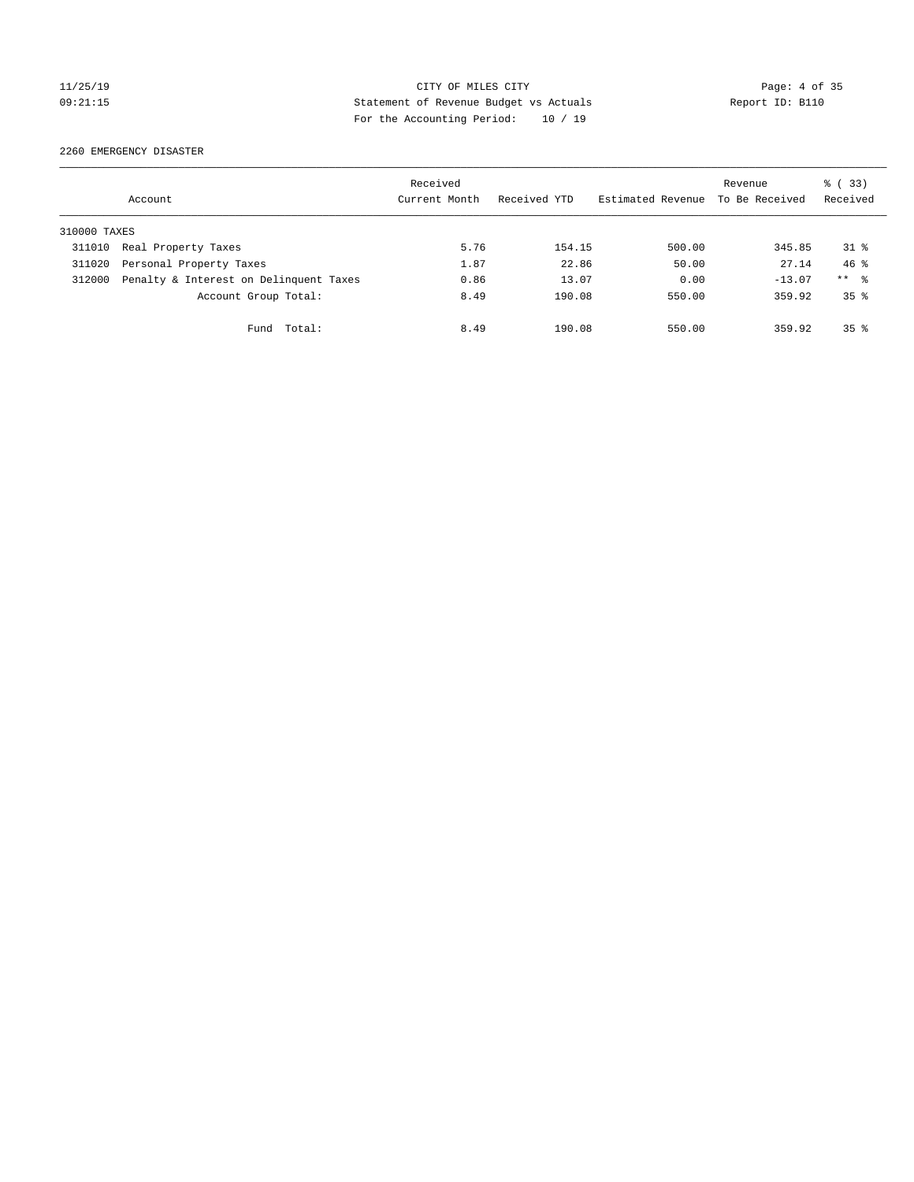# 11/25/19 Page: 4 of 35 09:21:15 Statement of Revenue Budget vs Actuals Report ID: B110 For the Accounting Period: 10 / 19

2260 EMERGENCY DISASTER

|              | Account                                | Received<br>Current Month | Received YTD | Estimated Revenue | Revenue<br>To Be Received | % (33)<br>Received |
|--------------|----------------------------------------|---------------------------|--------------|-------------------|---------------------------|--------------------|
| 310000 TAXES |                                        |                           |              |                   |                           |                    |
| 311010       | Real Property Taxes                    | 5.76                      | 154.15       | 500.00            | 345.85                    | $31$ %             |
| 311020       | Personal Property Taxes                | 1.87                      | 22.86        | 50.00             | 27.14                     | $46*$              |
| 312000       | Penalty & Interest on Delinquent Taxes | 0.86                      | 13.07        | 0.00              | $-13.07$                  | $***$ %            |
|              | Account Group Total:                   | 8.49                      | 190.08       | 550.00            | 359.92                    | 35 <sup>8</sup>    |
|              | Total:<br>Fund                         | 8.49                      | 190.08       | 550.00            | 359.92                    | 35 <sup>8</sup>    |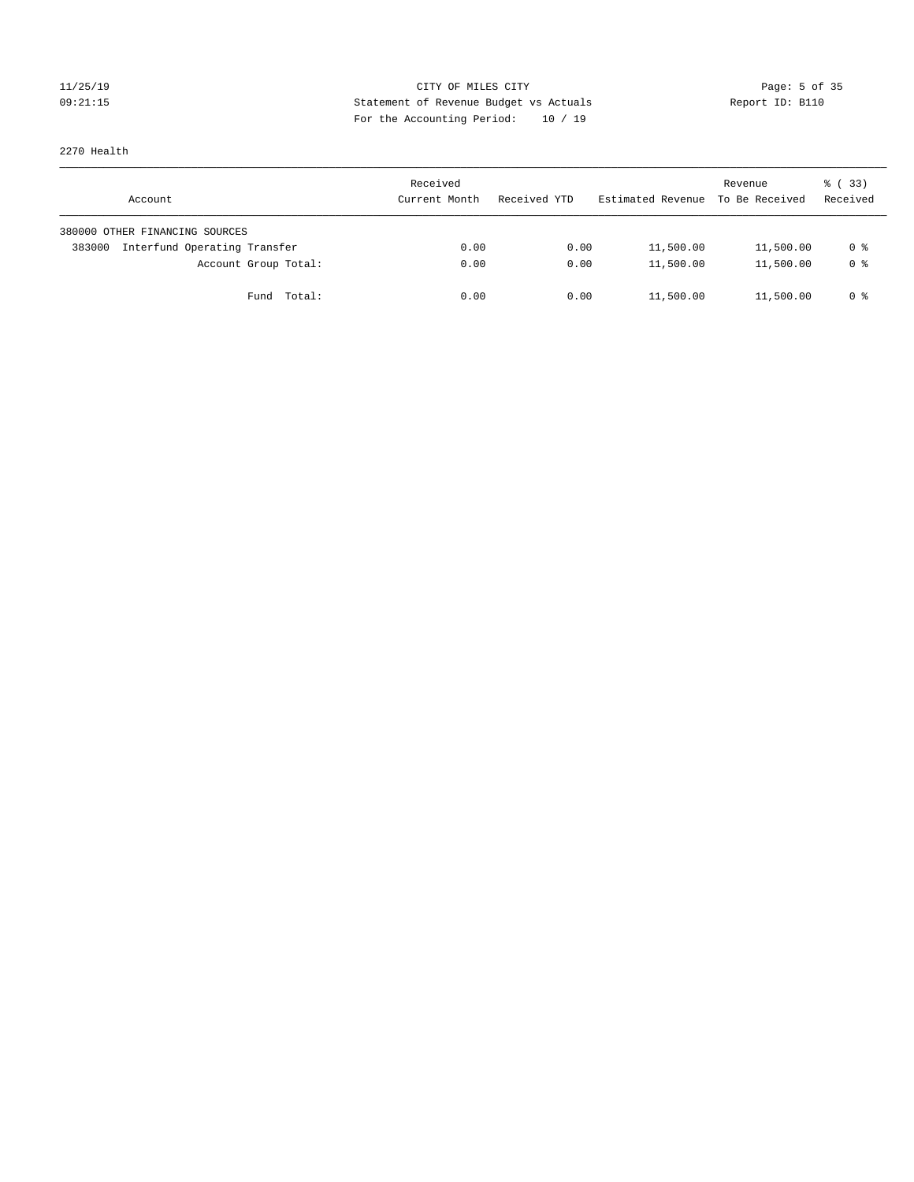# 11/25/19 Page: 5 of 35 09:21:15 Statement of Revenue Budget vs Actuals Report ID: B110 For the Accounting Period: 10 / 19

2270 Health

| Account                                | Received<br>Current Month | Received YTD | Estimated Revenue | Revenue<br>To Be Received | $\frac{1}{6}$ (33)<br>Received |
|----------------------------------------|---------------------------|--------------|-------------------|---------------------------|--------------------------------|
| 380000 OTHER FINANCING SOURCES         |                           |              |                   |                           |                                |
| Interfund Operating Transfer<br>383000 | 0.00                      | 0.00         | 11,500.00         | 11,500.00                 | 0 %                            |
| Account Group Total:                   | 0.00                      | 0.00         | 11,500.00         | 11,500.00                 | 0 <sup>8</sup>                 |
| Fund Total:                            | 0.00                      | 0.00         | 11,500.00         | 11,500.00                 | 0 %                            |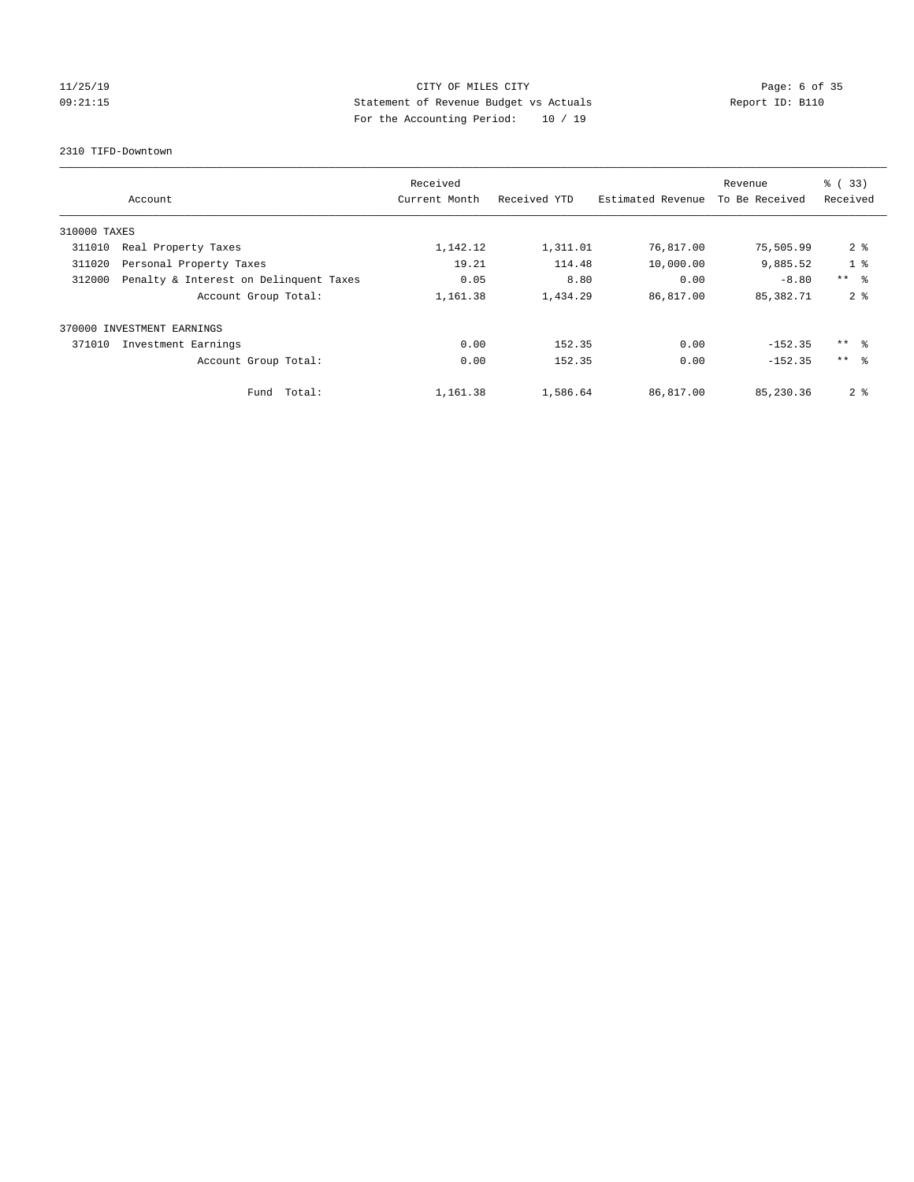# 11/25/19 **CITY OF MILES CITY CITY CITY Page: 6 of 35** 09:21:15 Statement of Revenue Budget vs Actuals Report ID: B110 For the Accounting Period: 10 / 19

2310 TIFD-Downtown

|              | Account                                | Received<br>Current Month | Received YTD | Estimated Revenue | Revenue<br>To Be Received | $\frac{1}{6}$ (33)<br>Received |
|--------------|----------------------------------------|---------------------------|--------------|-------------------|---------------------------|--------------------------------|
| 310000 TAXES |                                        |                           |              |                   |                           |                                |
| 311010       | Real Property Taxes                    | 1,142.12                  | 1,311.01     | 76,817.00         | 75,505.99                 | 2 <sup>8</sup>                 |
| 311020       | Personal Property Taxes                | 19.21                     | 114.48       | 10,000.00         | 9,885.52                  | 1 <sup>8</sup>                 |
| 312000       | Penalty & Interest on Delinquent Taxes | 0.05                      | 8.80         | 0.00              | $-8.80$                   | $***$ $\approx$                |
|              | Account Group Total:                   | 1,161.38                  | 1,434.29     | 86,817.00         | 85,382.71                 | 2 <sub>8</sub>                 |
|              | 370000 INVESTMENT EARNINGS             |                           |              |                   |                           |                                |
| 371010       | Investment Earnings                    | 0.00                      | 152.35       | 0.00              | $-152.35$                 | $***$ $\approx$                |
|              | Account Group Total:                   | 0.00                      | 152.35       | 0.00              | $-152.35$                 | $***$ $\approx$                |
|              | Fund Total:                            | 1,161.38                  | 1,586.64     | 86,817.00         | 85,230.36                 | 2 <sup>8</sup>                 |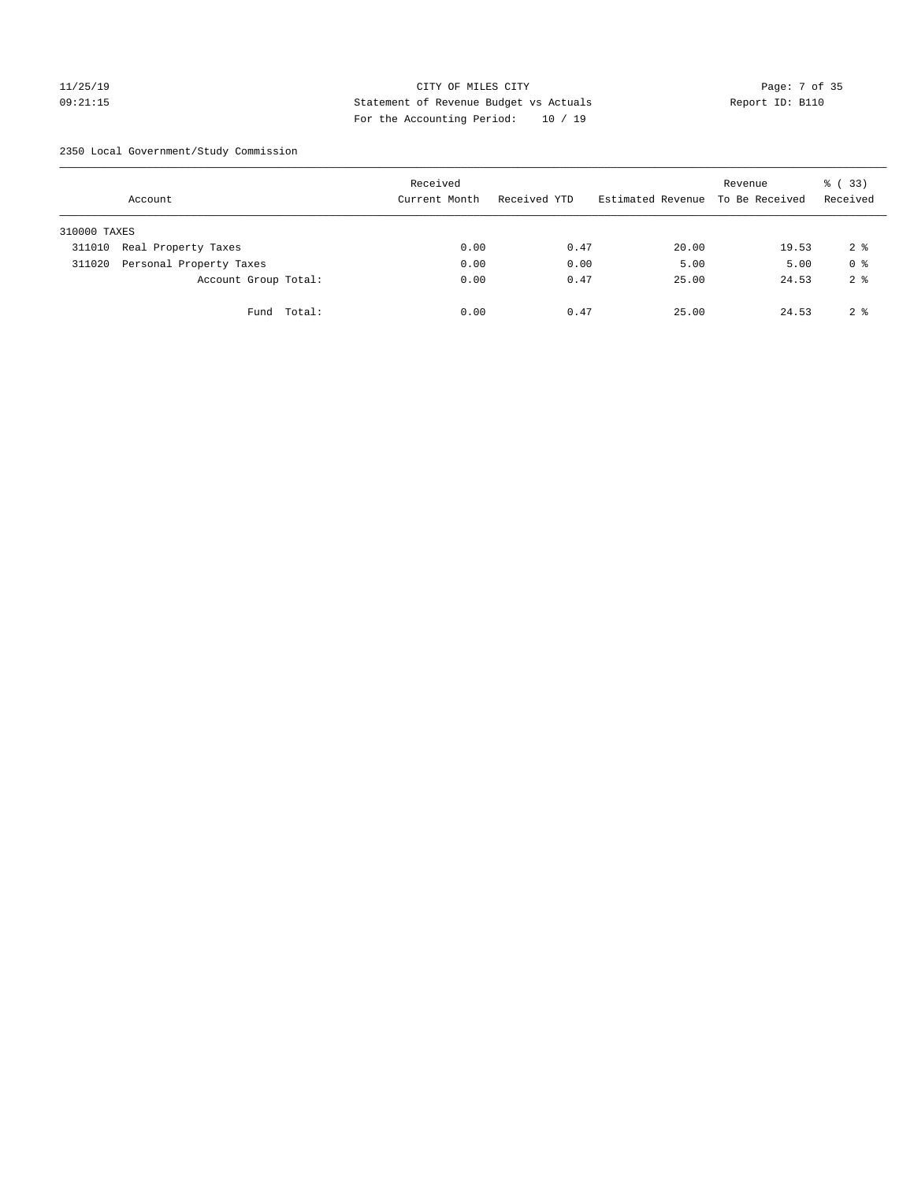# 11/25/19 Page: 7 of 35 09:21:15 Statement of Revenue Budget vs Actuals Report ID: B110 For the Accounting Period: 10 / 19

2350 Local Government/Study Commission

|              | Account                 |             | Received<br>Current Month |      | Received YTD |      | Estimated Revenue To Be Received | Revenue | % (33)<br>Received |
|--------------|-------------------------|-------------|---------------------------|------|--------------|------|----------------------------------|---------|--------------------|
| 310000 TAXES |                         |             |                           |      |              |      |                                  |         |                    |
| 311010       | Real Property Taxes     |             |                           | 0.00 |              | 0.47 | 20.00                            | 19.53   | 2 <sup>8</sup>     |
| 311020       | Personal Property Taxes |             |                           | 0.00 |              | 0.00 | 5.00                             | 5.00    | 0 <sup>8</sup>     |
|              | Account Group Total:    |             |                           | 0.00 |              | 0.47 | 25.00                            | 24.53   | 2 <sup>8</sup>     |
|              |                         | Fund Total: |                           | 0.00 |              | 0.47 | 25.00                            | 24.53   | 2 <sup>8</sup>     |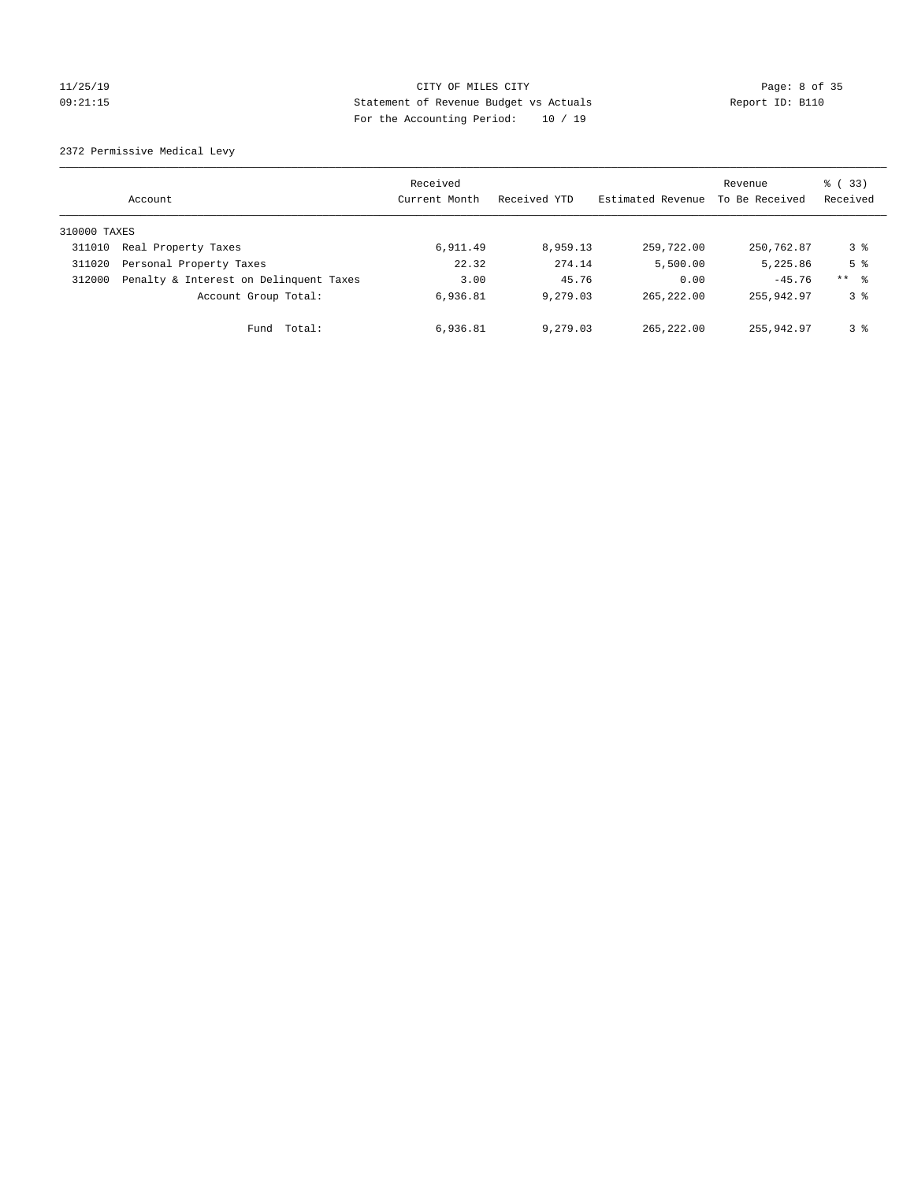# 11/25/19 Page: 8 of 35 09:21:15 Statement of Revenue Budget vs Actuals Report ID: B110 For the Accounting Period: 10 / 19

2372 Permissive Medical Levy

|              | Account                                | Received<br>Current Month | Received YTD | Estimated Revenue | Revenue<br>To Be Received | 8 (33)<br>Received  |
|--------------|----------------------------------------|---------------------------|--------------|-------------------|---------------------------|---------------------|
| 310000 TAXES |                                        |                           |              |                   |                           |                     |
| 311010       | Real Property Taxes                    | 6,911.49                  | 8,959.13     | 259,722.00        | 250,762.87                | 3 %                 |
| 311020       | Personal Property Taxes                | 22.32                     | 274.14       | 5,500.00          | 5,225.86                  | 5 <sup>8</sup>      |
| 312000       | Penalty & Interest on Delinquent Taxes | 3.00                      | 45.76        | 0.00              | $-45.76$                  | $***$ $\frac{6}{5}$ |
|              | Account Group Total:                   | 6,936.81                  | 9,279.03     | 265, 222, 00      | 255,942.97                | 3 <sup>8</sup>      |
|              | Total:<br>Fund                         | 6,936.81                  | 9,279.03     | 265, 222, 00      | 255,942.97                | 3 <sup>8</sup>      |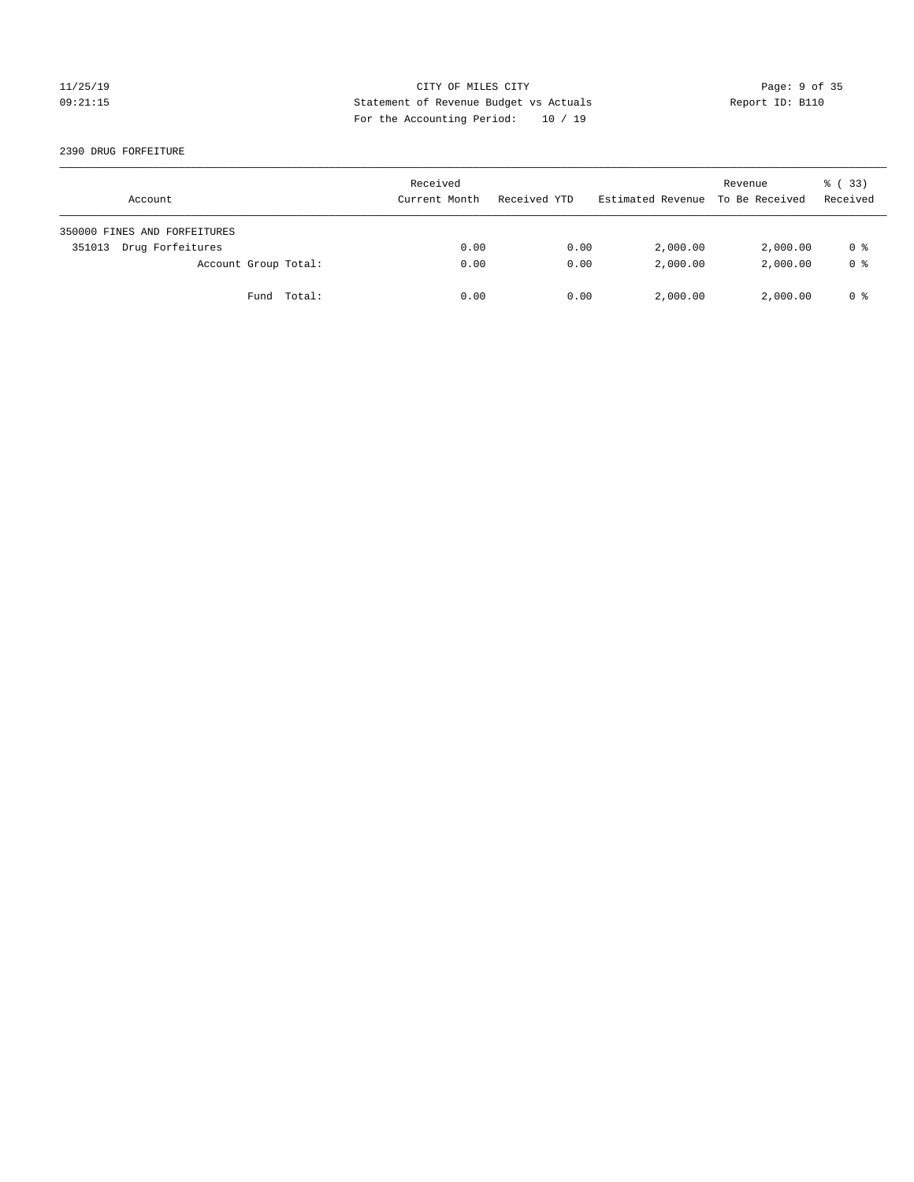### 11/25/19 CITY OF MILES CITY Page: 9 of 35 09:21:15 Statement of Revenue Budget vs Actuals Report ID: B110 For the Accounting Period: 10 / 19

2390 DRUG FORFEITURE

| Account                      | Received<br>Current Month | Received YTD | Estimated Revenue | Revenue<br>To Be Received | $\frac{1}{6}$ (33)<br>Received |
|------------------------------|---------------------------|--------------|-------------------|---------------------------|--------------------------------|
| 350000 FINES AND FORFEITURES |                           |              |                   |                           |                                |
| Drug Forfeitures<br>351013   | 0.00                      | 0.00         | 2,000.00          | 2,000.00                  | 0 %                            |
| Account Group Total:         | 0.00                      | 0.00         | 2,000.00          | 2,000.00                  | 0 <sup>8</sup>                 |
| Fund Total:                  | 0.00                      | 0.00         | 2,000.00          | 2,000.00                  | 0 %                            |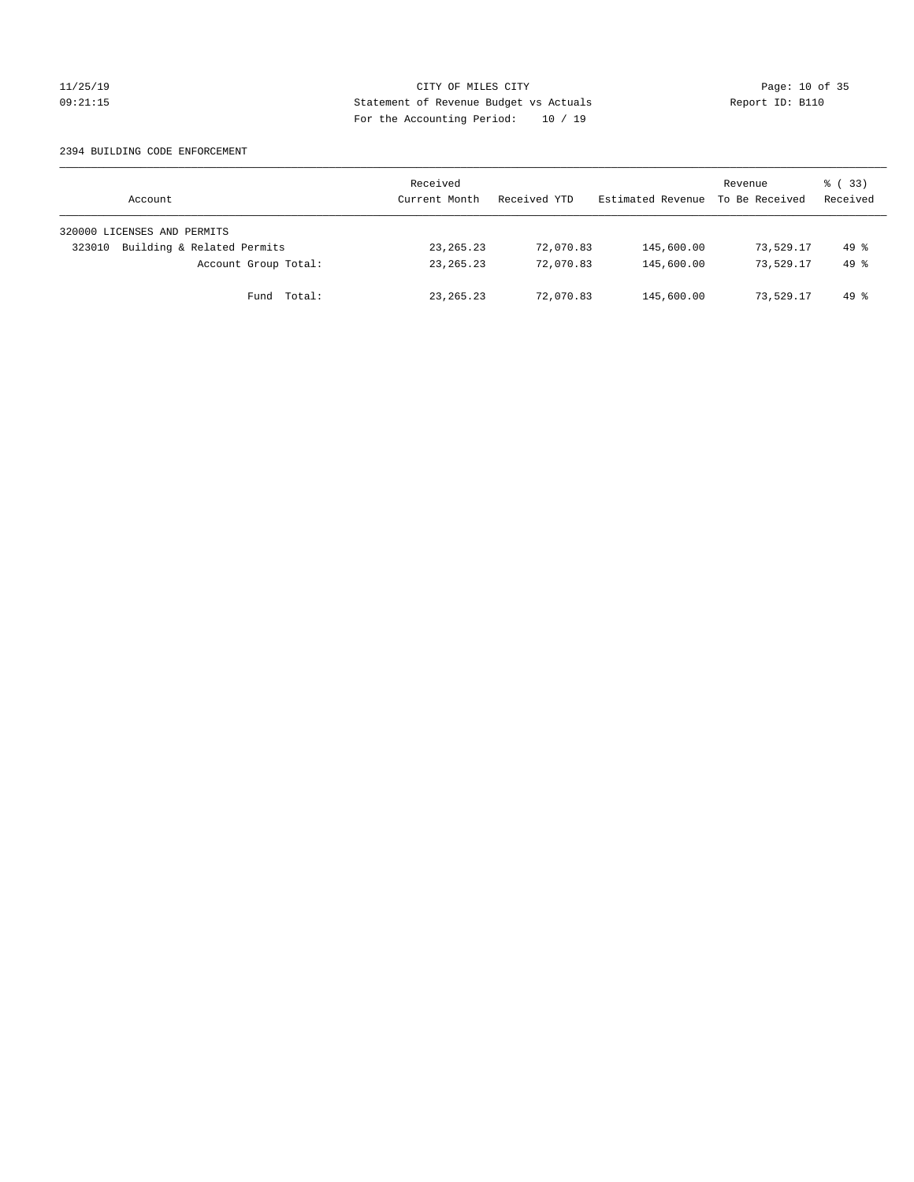### 11/25/19 Page: 10 of 35 09:21:15 Statement of Revenue Budget vs Actuals Report ID: B110 For the Accounting Period: 10 / 19

### 2394 BUILDING CODE ENFORCEMENT

| Account                              | Received<br>Current Month | Received YTD | Estimated Revenue | Revenue<br>To Be Received | 8 (33)<br>Received |
|--------------------------------------|---------------------------|--------------|-------------------|---------------------------|--------------------|
| 320000 LICENSES AND PERMITS          |                           |              |                   |                           |                    |
| Building & Related Permits<br>323010 | 23, 265. 23               | 72,070.83    | 145,600.00        | 73,529.17                 | $49*$              |
| Account Group Total:                 | 23, 265. 23               | 72,070.83    | 145,600.00        | 73,529.17                 | $49*$              |
| Fund Total:                          | 23, 265. 23               | 72,070.83    | 145,600.00        | 73,529.17                 | 49 %               |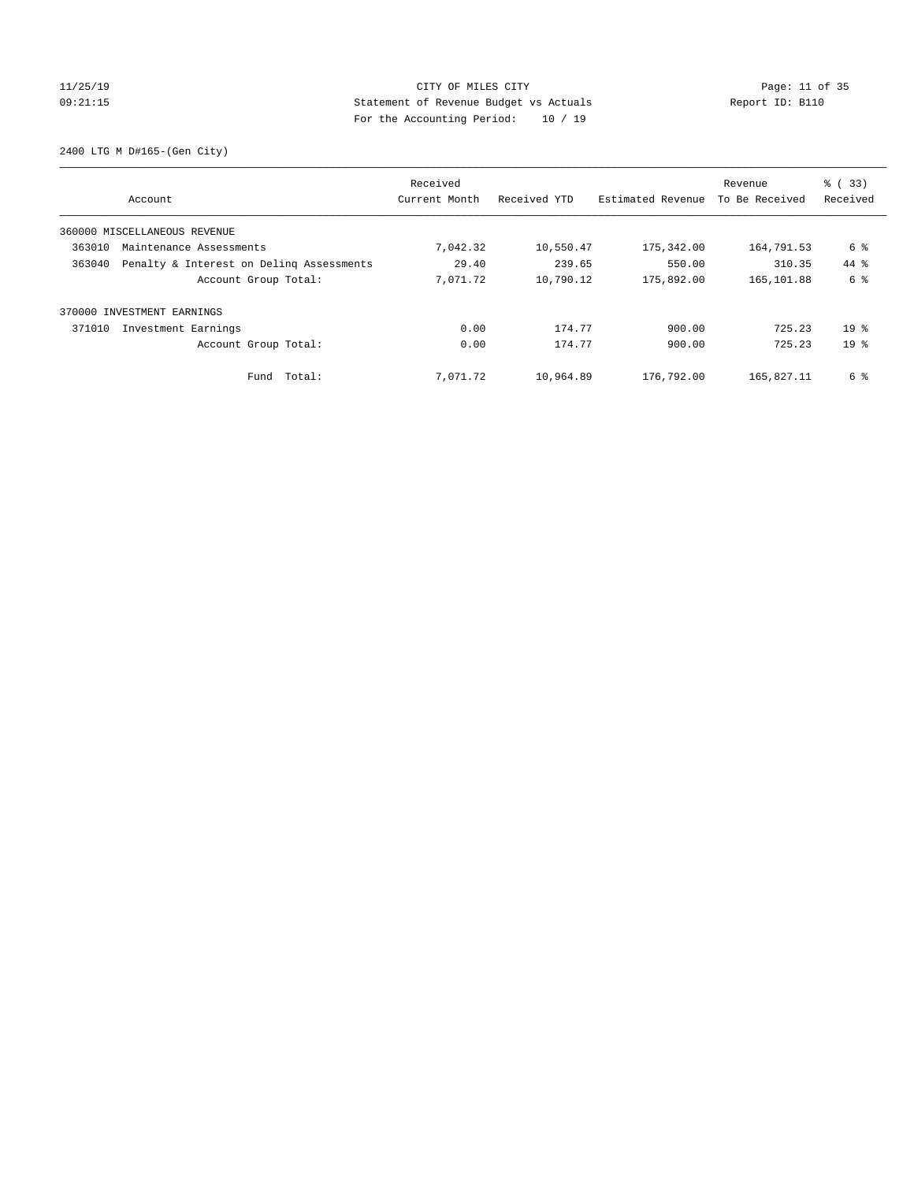# 11/25/19 Page: 11 of 35 09:21:15 Statement of Revenue Budget vs Actuals Report ID: B110 For the Accounting Period: 10 / 19

2400 LTG M D#165-(Gen City)

| Account                                            | Received<br>Current Month | Received YTD | Estimated Revenue | Revenue<br>To Be Received | $\frac{6}{6}$ (33)<br>Received |
|----------------------------------------------------|---------------------------|--------------|-------------------|---------------------------|--------------------------------|
| 360000 MISCELLANEOUS REVENUE                       |                           |              |                   |                           |                                |
| 363010<br>Maintenance Assessments                  | 7,042.32                  | 10,550.47    | 175,342.00        | 164,791.53                | 6 %                            |
| Penalty & Interest on Deling Assessments<br>363040 | 29.40                     | 239.65       | 550.00            | 310.35                    | 44.8                           |
| Account Group Total:                               | 7,071.72                  | 10,790.12    | 175,892.00        | 165,101.88                | 6 %                            |
| INVESTMENT EARNINGS<br>370000                      |                           |              |                   |                           |                                |
| 371010<br>Investment Earnings                      | 0.00                      | 174.77       | 900.00            | 725.23                    | 19 <sup>8</sup>                |
| Account Group Total:                               | 0.00                      | 174.77       | 900.00            | 725.23                    | 19 <sup>8</sup>                |
| Fund Total:                                        | 7,071.72                  | 10,964.89    | 176,792.00        | 165,827.11                | 6 %                            |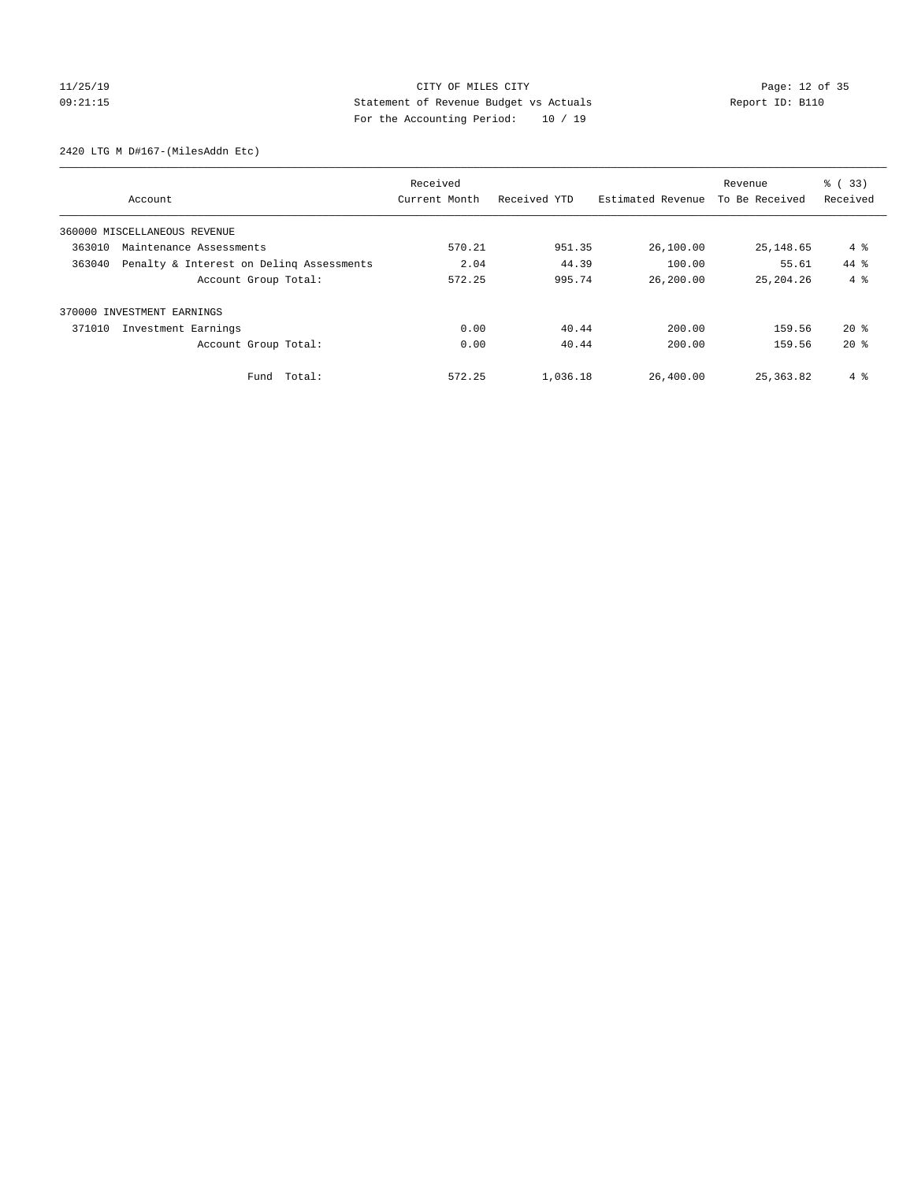# 11/25/19 Page: 12 of 35 09:21:15 Statement of Revenue Budget vs Actuals Report ID: B110 For the Accounting Period: 10 / 19

2420 LTG M D#167-(MilesAddn Etc)

|                              |                                          | Received      |              |                   | Revenue        | % (33)       |
|------------------------------|------------------------------------------|---------------|--------------|-------------------|----------------|--------------|
|                              | Account                                  | Current Month | Received YTD | Estimated Revenue | To Be Received | Received     |
| 360000 MISCELLANEOUS REVENUE |                                          |               |              |                   |                |              |
| 363010                       | Maintenance Assessments                  | 570.21        | 951.35       | 26,100.00         | 25,148.65      | 4 %          |
| 363040                       | Penalty & Interest on Deling Assessments | 2.04          | 44.39        | 100.00            | 55.61          | 44.8         |
|                              | Account Group Total:                     | 572.25        | 995.74       | 26,200.00         | 25, 204, 26    | $4 \text{ }$ |
| 370000 INVESTMENT EARNINGS   |                                          |               |              |                   |                |              |
| 371010                       | Investment Earnings                      | 0.00          | 40.44        | 200.00            | 159.56         | $20*$        |
|                              | Account Group Total:                     | 0.00          | 40.44        | 200.00            | 159.56         | $20*$        |
|                              | Total:<br>Fund                           | 572.25        | 1,036.18     | 26,400.00         | 25,363.82      | 4 %          |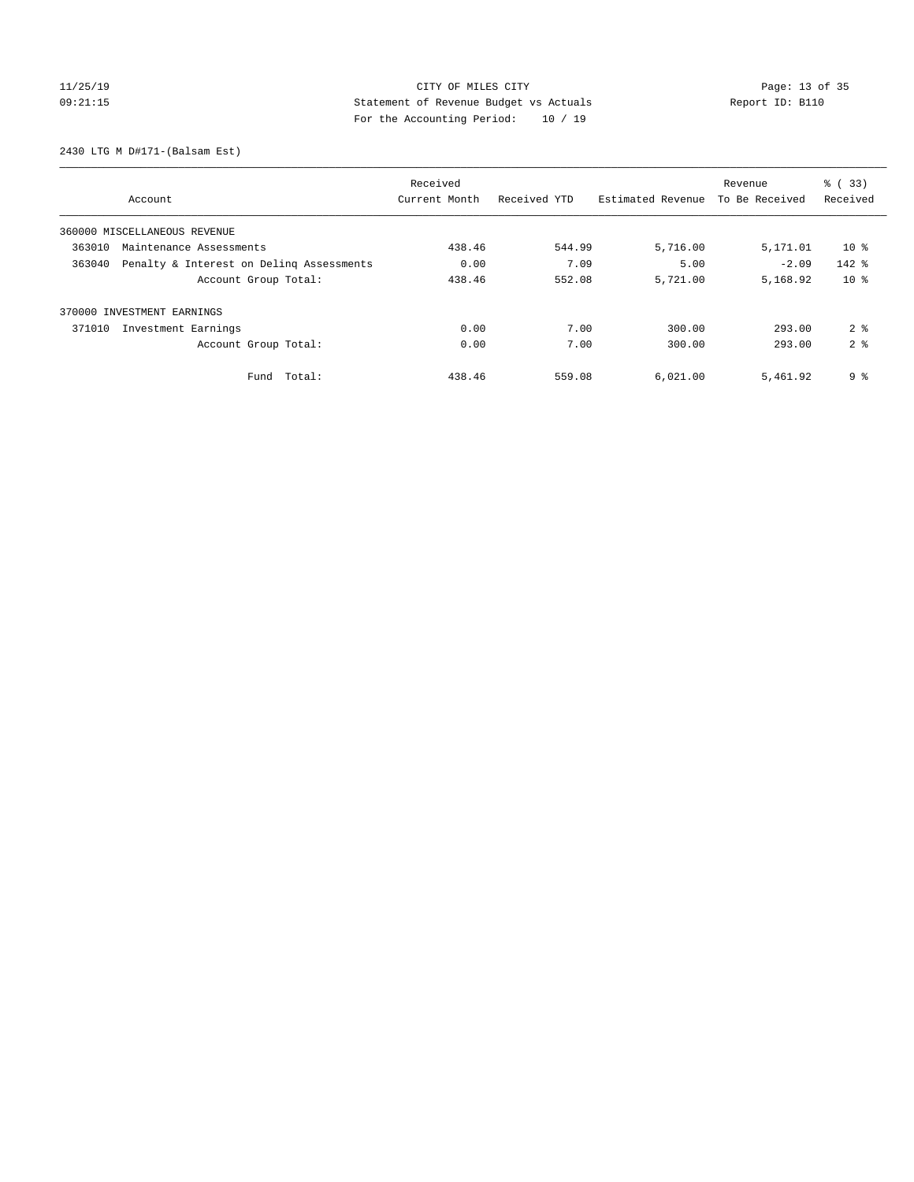# 11/25/19 Page: 13 of 35 09:21:15 Statement of Revenue Budget vs Actuals Report ID: B110 For the Accounting Period: 10 / 19

2430 LTG M D#171-(Balsam Est)

|        |                                          | Received      |              |                   | Revenue        | % (33)          |
|--------|------------------------------------------|---------------|--------------|-------------------|----------------|-----------------|
|        | Account                                  | Current Month | Received YTD | Estimated Revenue | To Be Received | Received        |
|        | 360000 MISCELLANEOUS REVENUE             |               |              |                   |                |                 |
| 363010 | Maintenance Assessments                  | 438.46        | 544.99       | 5,716.00          | 5,171.01       | 10 <sub>8</sub> |
| 363040 | Penalty & Interest on Deling Assessments | 0.00          | 7.09         | 5.00              | $-2.09$        | $142$ $%$       |
|        | Account Group Total:                     | 438.46        | 552.08       | 5,721.00          | 5,168.92       | $10*$           |
|        | 370000 INVESTMENT EARNINGS               |               |              |                   |                |                 |
| 371010 | Investment Earnings                      | 0.00          | 7.00         | 300.00            | 293.00         | 2 <sup>8</sup>  |
|        | Account Group Total:                     | 0.00          | 7.00         | 300.00            | 293.00         | 2 <sup>8</sup>  |
|        | Total:<br>Fund                           | 438.46        | 559.08       | 6,021.00          | 5,461.92       | 9 <sup>°</sup>  |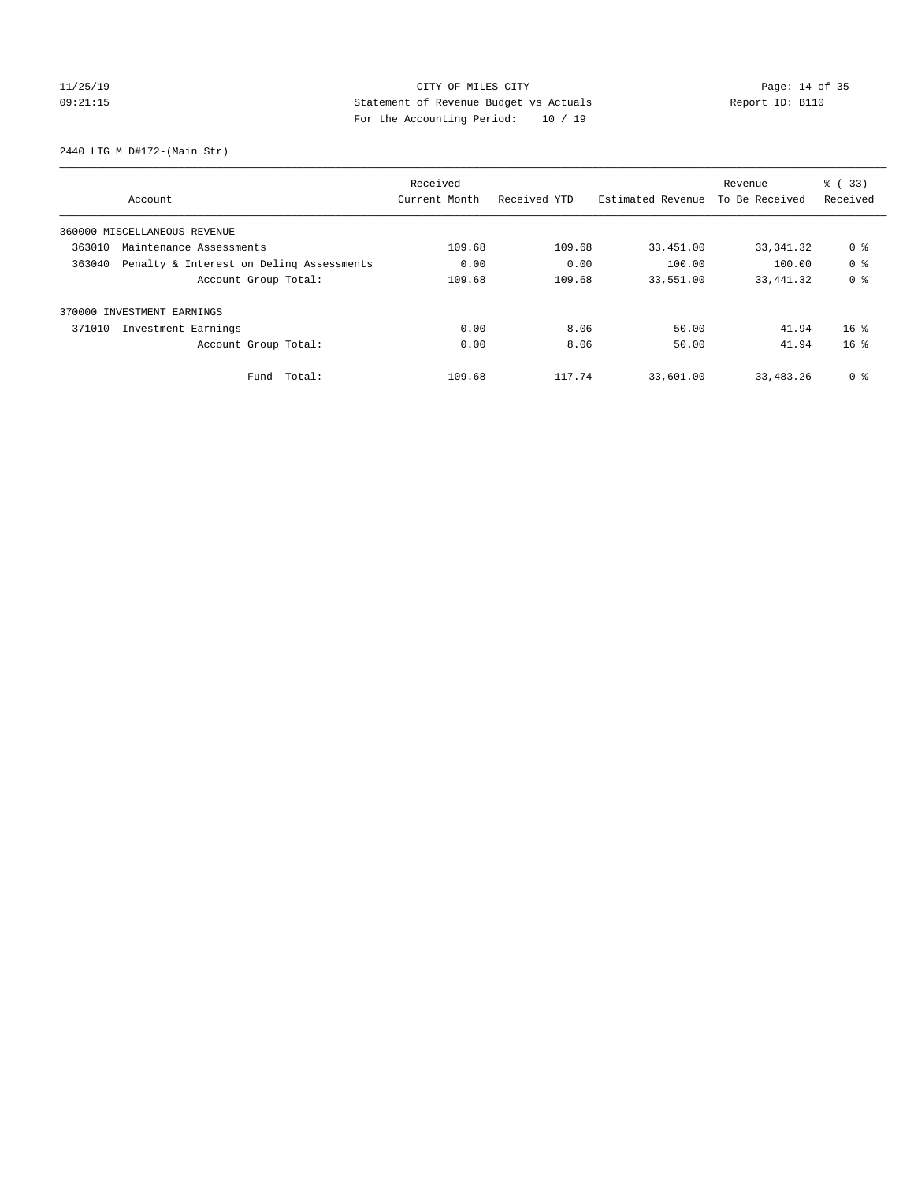# 11/25/19 Page: 14 of 35 09:21:15 Statement of Revenue Budget vs Actuals Report ID: B110 For the Accounting Period: 10 / 19

2440 LTG M D#172-(Main Str)

|        | Received                                 |               |              |                   | Revenue        | % (33)          |
|--------|------------------------------------------|---------------|--------------|-------------------|----------------|-----------------|
|        | Account                                  | Current Month | Received YTD | Estimated Revenue | To Be Received | Received        |
|        | 360000 MISCELLANEOUS REVENUE             |               |              |                   |                |                 |
| 363010 | Maintenance Assessments                  |               | 109.68       | 33,451.00         | 33, 341.32     | 0 %             |
| 363040 | Penalty & Interest on Deling Assessments |               | 0.00         | 100.00            | 100.00         | 0 <sup>8</sup>  |
|        | Account Group Total:                     | 109.68        | 109.68       | 33,551.00         | 33, 441.32     | 0 <sup>8</sup>  |
|        | 370000 INVESTMENT EARNINGS               |               |              |                   |                |                 |
| 371010 | Investment Earnings                      | 0.00          | 8.06         | 50.00             | 41.94          | $16*$           |
|        | Account Group Total:                     | 0.00          | 8.06         | 50.00             | 41.94          | 16 <sup>8</sup> |
|        | Fund Total:                              | 109.68        | 117.74       | 33,601.00         | 33,483.26      | 0 %             |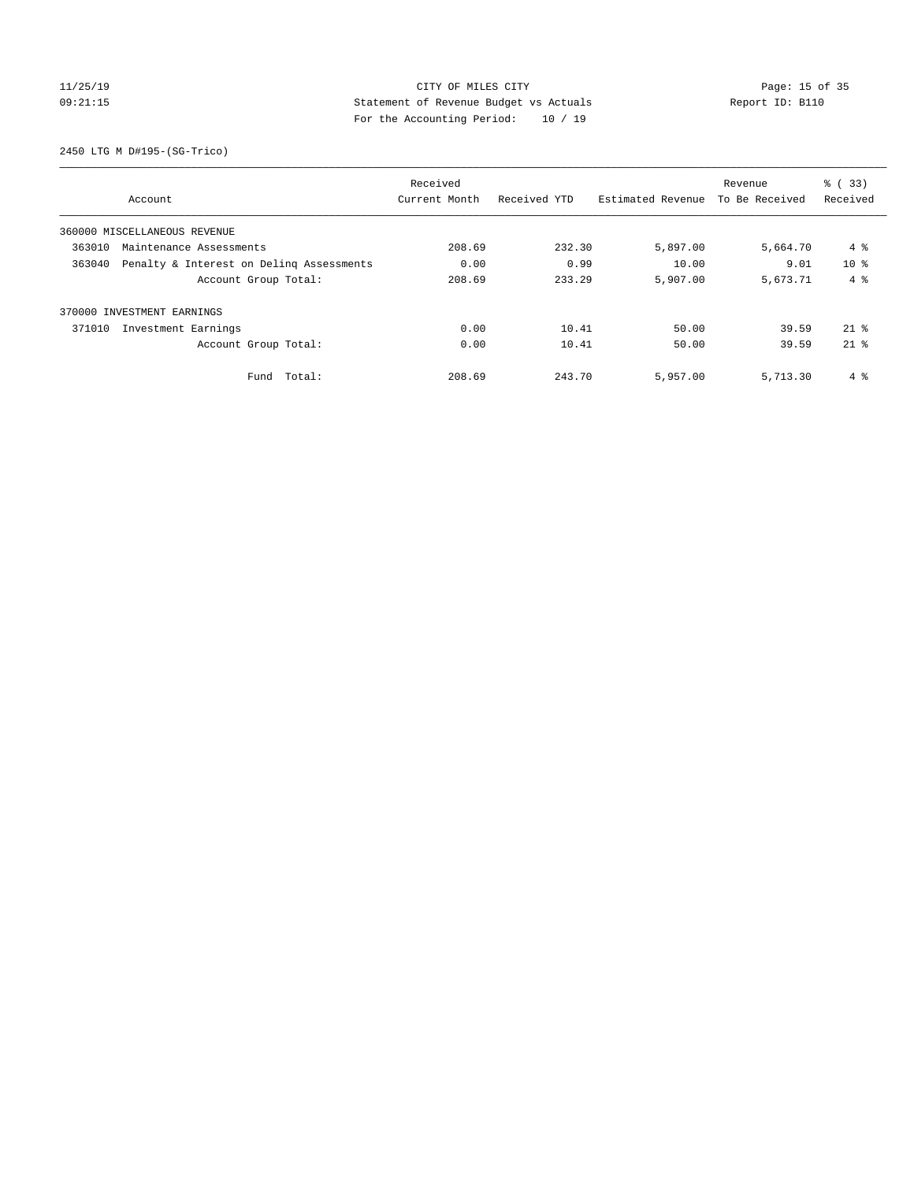# 11/25/19 Page: 15 of 35 09:21:15 Statement of Revenue Budget vs Actuals Report ID: B110 For the Accounting Period: 10 / 19

2450 LTG M D#195-(SG-Trico)

|        |                                          | Received      |              |                   | Revenue        | % (33)       |
|--------|------------------------------------------|---------------|--------------|-------------------|----------------|--------------|
|        | Account                                  | Current Month | Received YTD | Estimated Revenue | To Be Received | Received     |
|        | 360000 MISCELLANEOUS REVENUE             |               |              |                   |                |              |
| 363010 | Maintenance Assessments                  |               | 232.30       | 5,897.00          | 5,664.70       | 4 %          |
| 363040 | Penalty & Interest on Deling Assessments | 0.00          | 0.99         | 10.00             | 9.01           | $10*$        |
|        | Account Group Total:                     | 208.69        | 233.29       | 5,907.00          | 5,673.71       | $4 \text{ }$ |
|        | 370000 INVESTMENT EARNINGS               |               |              |                   |                |              |
| 371010 | Investment Earnings                      | 0.00          | 10.41        | 50.00             | 39.59          | $21*$        |
|        | Account Group Total:                     | 0.00          | 10.41        | 50.00             | 39.59          | $21*$        |
|        | Total:<br>Fund                           | 208.69        | 243.70       | 5,957.00          | 5,713.30       | 4 %          |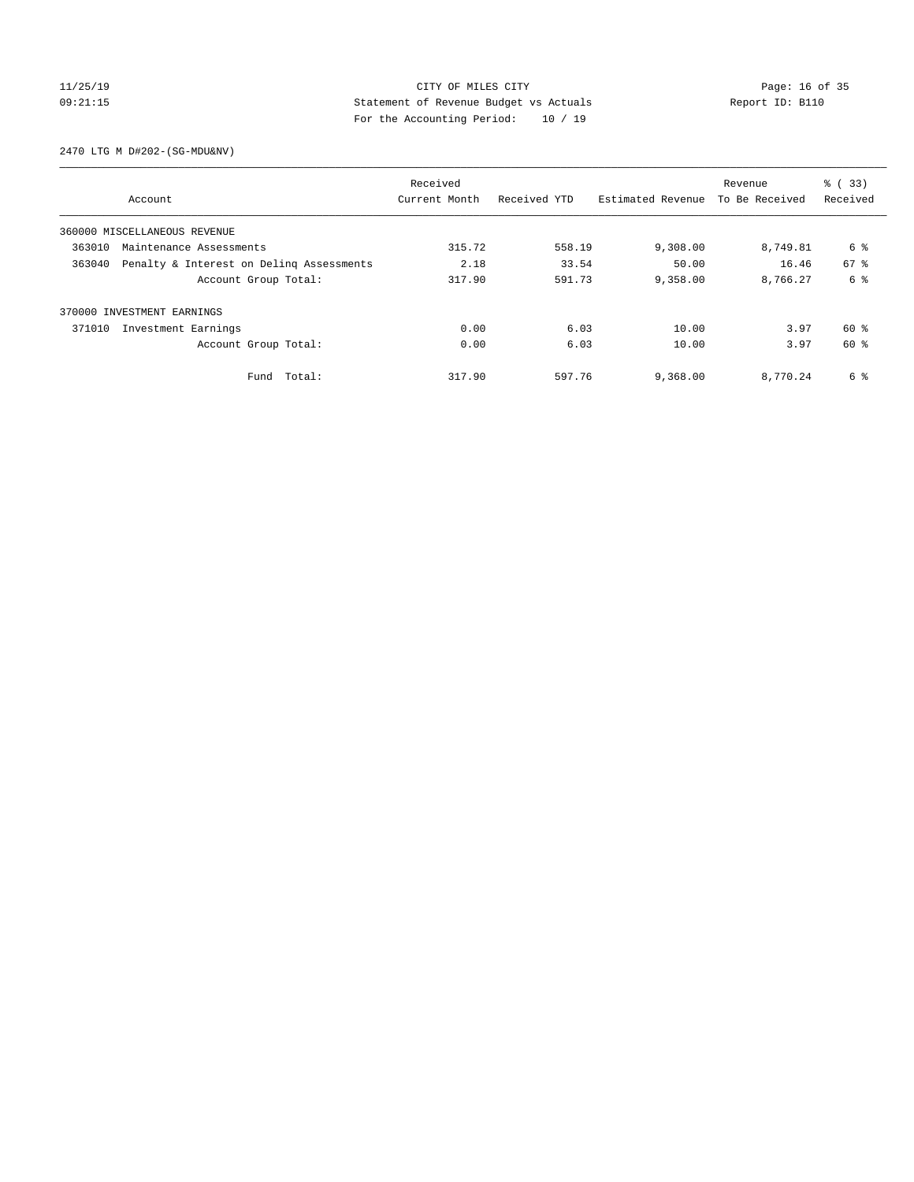# 11/25/19 Page: 16 of 35 09:21:15 Statement of Revenue Budget vs Actuals Report ID: B110 For the Accounting Period: 10 / 19

2470 LTG M D#202-(SG-MDU&NV)

|        |                                          | Received      |              |                   | Revenue        | % (33)   |
|--------|------------------------------------------|---------------|--------------|-------------------|----------------|----------|
|        | Account                                  | Current Month | Received YTD | Estimated Revenue | To Be Received | Received |
|        | 360000 MISCELLANEOUS REVENUE             |               |              |                   |                |          |
| 363010 | Maintenance Assessments                  |               | 558.19       | 9,308.00          | 8,749.81       | 6 %      |
| 363040 | Penalty & Interest on Deling Assessments | 2.18          | 33.54        | 50.00             | 16.46          | 67 %     |
|        | Account Group Total:                     | 317.90        | 591.73       | 9,358.00          | 8,766.27       | 6 %      |
|        | 370000 INVESTMENT EARNINGS               |               |              |                   |                |          |
| 371010 | Investment Earnings                      | 0.00          | 6.03         | 10.00             | 3.97           | 60 %     |
|        | Account Group Total:                     | 0.00          | 6.03         | 10.00             | 3.97           | 60 %     |
|        | Fund Total:                              | 317.90        | 597.76       | 9,368.00          | 8,770.24       | 6 %      |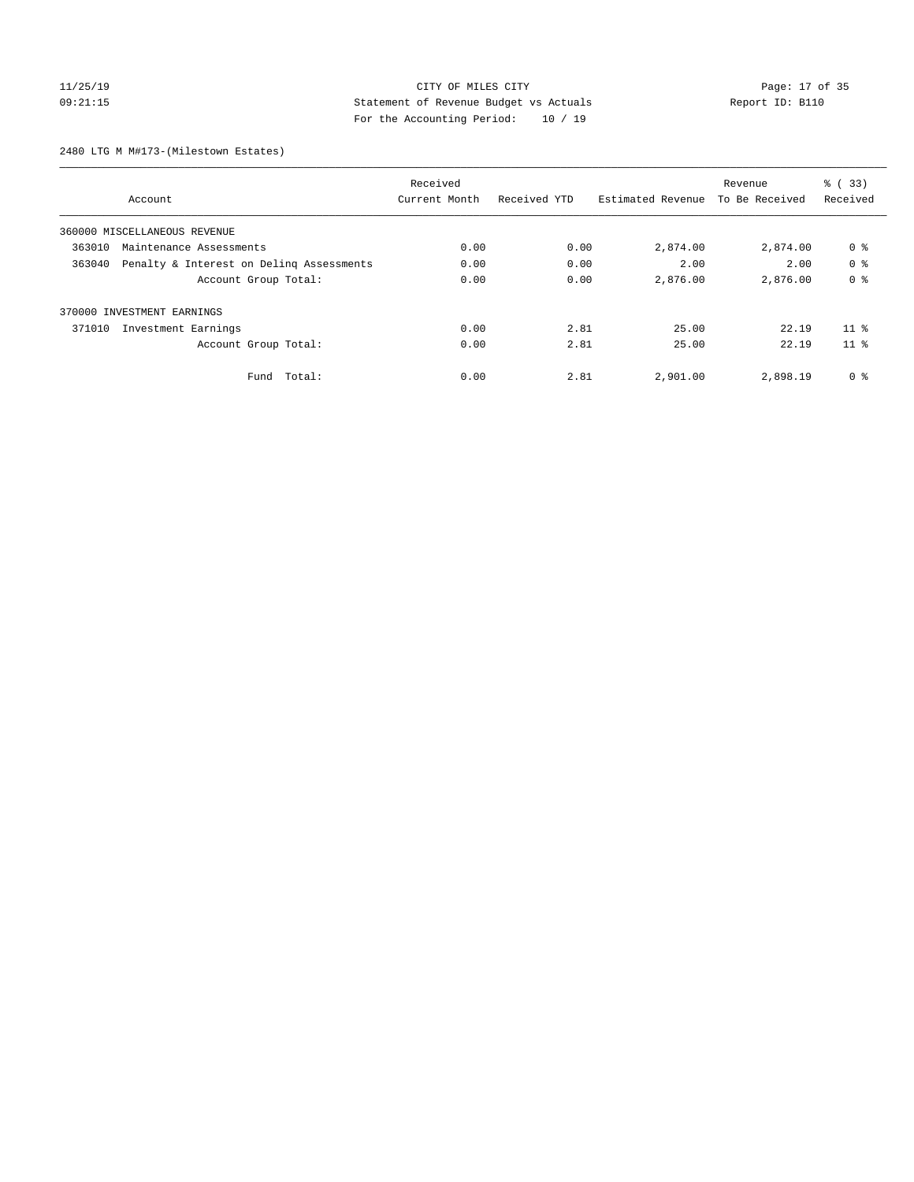# 11/25/19 Page: 17 of 35 09:21:15 Statement of Revenue Budget vs Actuals Report ID: B110 For the Accounting Period: 10 / 19

2480 LTG M M#173-(Milestown Estates)

|        |                                          | Received      |              |                   | Revenue        | % (33)          |
|--------|------------------------------------------|---------------|--------------|-------------------|----------------|-----------------|
|        | Account                                  | Current Month | Received YTD | Estimated Revenue | To Be Received | Received        |
|        | 360000 MISCELLANEOUS REVENUE             |               |              |                   |                |                 |
| 363010 | Maintenance Assessments                  |               | 0.00         | 2,874.00          | 2,874.00       | 0 %             |
| 363040 | Penalty & Interest on Deling Assessments | 0.00          | 0.00         | 2.00              | 2.00           | 0 <sup>8</sup>  |
|        | Account Group Total:                     | 0.00          | 0.00         | 2,876.00          | 2,876.00       | 0 <sup>8</sup>  |
|        | 370000 INVESTMENT EARNINGS               |               |              |                   |                |                 |
| 371010 | Investment Earnings                      | 0.00          | 2.81         | 25.00             | 22.19          | 11 <sup>8</sup> |
|        | Account Group Total:                     | 0.00          | 2.81         | 25.00             | 22.19          | 11 <sup>8</sup> |
|        | Fund Total:                              | 0.00          | 2.81         | 2,901.00          | 2,898.19       | 0 %             |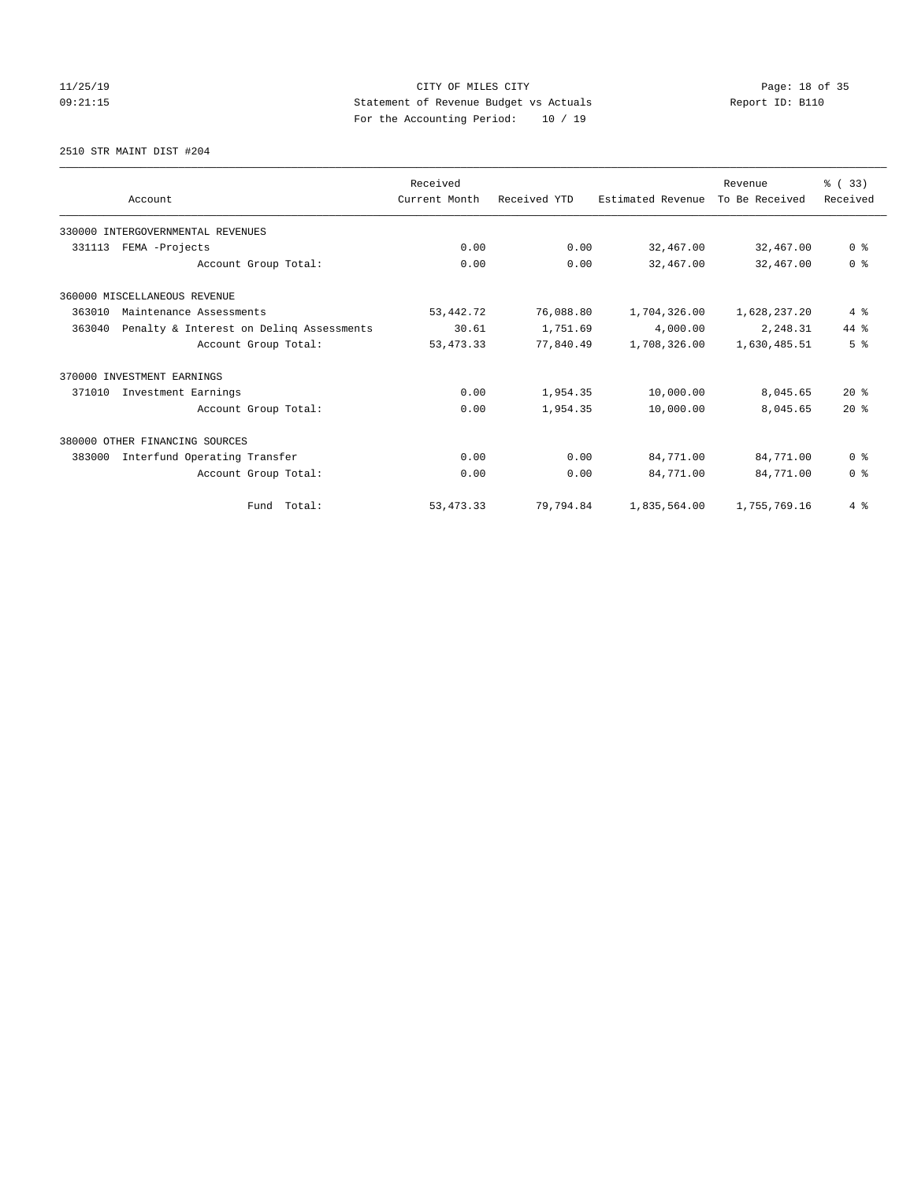# 11/25/19 Page: 18 of 35 09:21:15 Statement of Revenue Budget vs Actuals Report ID: B110 For the Accounting Period: 10 / 19

### 2510 STR MAINT DIST #204

|        |                                          | Received      |              |                   | Revenue        | % (33)         |
|--------|------------------------------------------|---------------|--------------|-------------------|----------------|----------------|
|        | Account                                  | Current Month | Received YTD | Estimated Revenue | To Be Received | Received       |
|        | 330000 INTERGOVERNMENTAL REVENUES        |               |              |                   |                |                |
| 331113 | FEMA -Projects                           | 0.00          | 0.00         | 32,467.00         | 32,467.00      | 0 <sup>8</sup> |
|        | Account Group Total:                     | 0.00          | 0.00         | 32,467.00         | 32,467.00      | 0 <sup>8</sup> |
|        | 360000 MISCELLANEOUS REVENUE             |               |              |                   |                |                |
| 363010 | Maintenance Assessments                  | 53, 442. 72   | 76,088.80    | 1,704,326.00      | 1,628,237.20   | 4%             |
| 363040 | Penalty & Interest on Delinq Assessments | 30.61         | 1,751.69     | 4,000.00          | 2,248.31       | 44 %           |
|        | Account Group Total:                     | 53, 473. 33   | 77,840.49    | 1,708,326.00      | 1,630,485.51   | 5 <sup>8</sup> |
|        | 370000 INVESTMENT EARNINGS               |               |              |                   |                |                |
| 371010 | Investment Earnings                      | 0.00          | 1,954.35     | 10,000.00         | 8,045.65       | $20*$          |
|        | Account Group Total:                     | 0.00          | 1,954.35     | 10,000.00         | 8,045.65       | $20*$          |
|        | 380000 OTHER FINANCING SOURCES           |               |              |                   |                |                |
| 383000 | Interfund Operating Transfer             | 0.00          | 0.00         | 84,771.00         | 84,771.00      | 0 <sup>8</sup> |
|        | Account Group Total:                     | 0.00          | 0.00         | 84,771.00         | 84,771.00      | 0 <sup>8</sup> |
|        | Fund Total:                              | 53, 473. 33   | 79,794.84    | 1,835,564.00      | 1,755,769.16   | 4%             |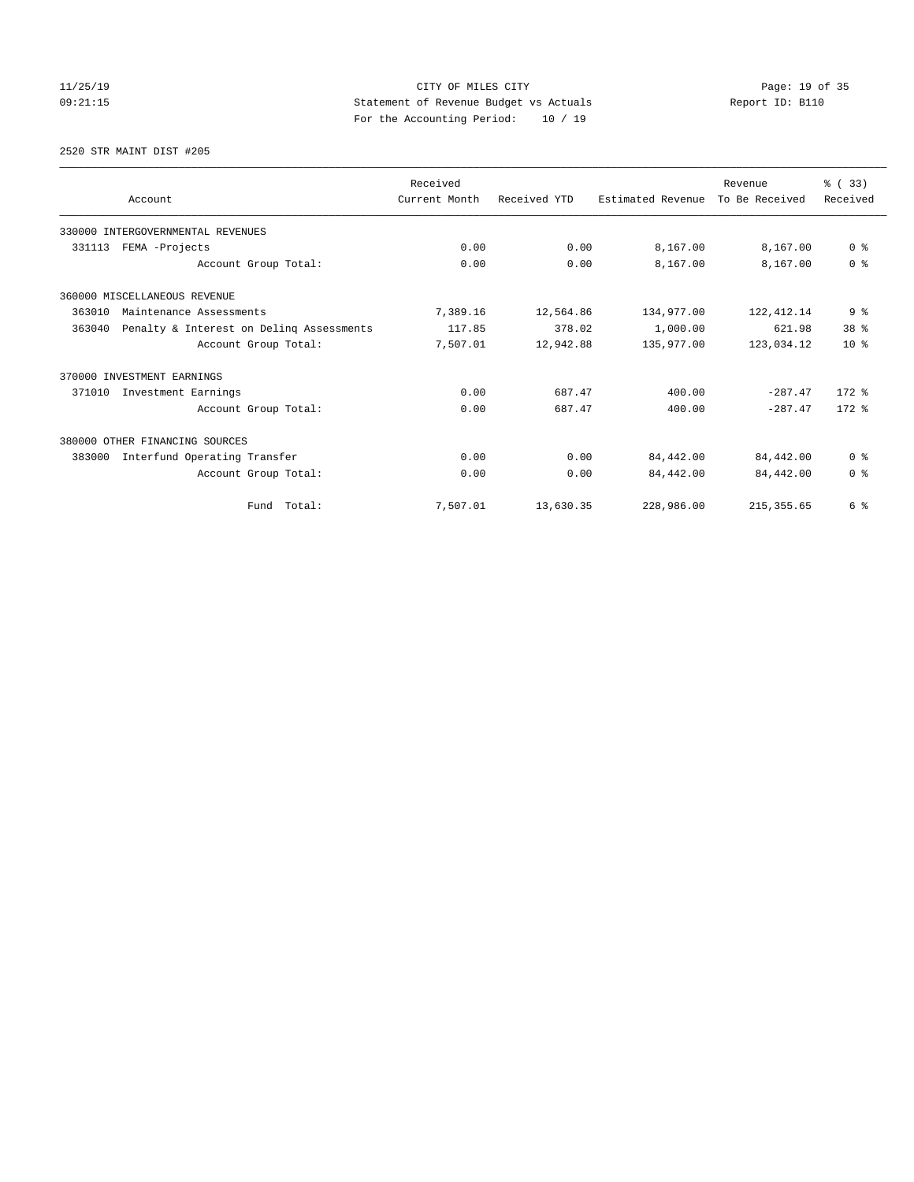# 11/25/19 Page: 19 of 35 09:21:15 Statement of Revenue Budget vs Actuals Report ID: B110 For the Accounting Period: 10 / 19

2520 STR MAINT DIST #205

|                            |                                          | Received      |              |                   | Revenue        | % (33)         |
|----------------------------|------------------------------------------|---------------|--------------|-------------------|----------------|----------------|
|                            | Account                                  | Current Month | Received YTD | Estimated Revenue | To Be Received | Received       |
|                            | 330000 INTERGOVERNMENTAL REVENUES        |               |              |                   |                |                |
| 331113                     | FEMA -Projects                           |               | 0.00         | 8,167.00          | 8,167.00       | 0 <sup>8</sup> |
|                            | Account Group Total:                     | 0.00          | 0.00         | 8,167.00          | 8,167.00       | 0 <sup>8</sup> |
|                            | 360000 MISCELLANEOUS REVENUE             |               |              |                   |                |                |
| 363010                     | Maintenance Assessments                  |               | 12,564.86    | 134,977.00        | 122, 412.14    | 9 <sub>8</sub> |
| 363040                     | Penalty & Interest on Deling Assessments | 117.85        | 378.02       | 1,000.00          | 621.98         | 38 %           |
|                            | Account Group Total:                     | 7,507.01      | 12,942.88    | 135,977.00        | 123,034.12     | $10*$          |
| 370000 INVESTMENT EARNINGS |                                          |               |              |                   |                |                |
| 371010                     | Investment Earnings                      | 0.00          | 687.47       | 400.00            | $-287.47$      | $172$ $%$      |
|                            | Account Group Total:                     | 0.00          | 687.47       | 400.00            | $-287.47$      | $172.$ %       |
|                            | 380000 OTHER FINANCING SOURCES           |               |              |                   |                |                |
| 383000                     | Interfund Operating Transfer             | 0.00          | 0.00         | 84,442.00         | 84,442.00      | 0 <sup>8</sup> |
|                            | Account Group Total:                     | 0.00          | 0.00         | 84,442.00         | 84,442.00      | 0 <sup>8</sup> |
|                            | Fund Total:                              | 7,507.01      | 13,630.35    | 228,986.00        | 215, 355.65    | 6 %            |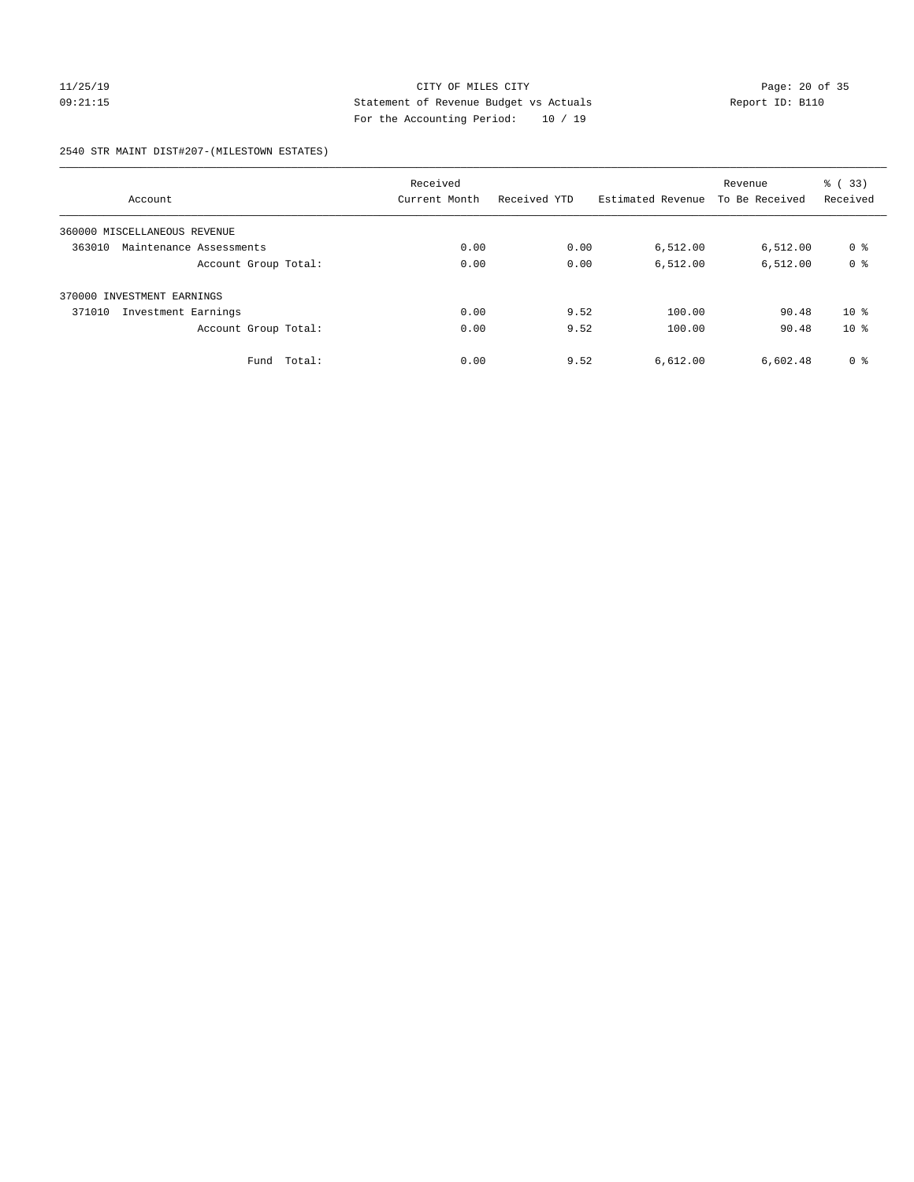### 11/25/19 CITY OF MILES CITY Page: 20 of 35 09:21:15 Statement of Revenue Budget vs Actuals Report ID: B110 For the Accounting Period: 10 / 19

2540 STR MAINT DIST#207-(MILESTOWN ESTATES)

|                                   | Received       |              |                   | Revenue        | % (33)         |
|-----------------------------------|----------------|--------------|-------------------|----------------|----------------|
| Account                           | Current Month  | Received YTD | Estimated Revenue | To Be Received | Received       |
| 360000 MISCELLANEOUS REVENUE      |                |              |                   |                |                |
| 363010<br>Maintenance Assessments | 0.00           | 0.00         | 6,512.00          | 6,512.00       | 0 <sup>8</sup> |
| Account Group Total:              | 0.00           | 0.00         | 6,512.00          | 6,512.00       | 0 <sup>8</sup> |
| 370000 INVESTMENT EARNINGS        |                |              |                   |                |                |
| 371010<br>Investment Earnings     | 0.00           | 9.52         | 100.00            | 90.48          | $10*$          |
| Account Group Total:              | 0.00           | 9.52         | 100.00            | 90.48          | $10*$          |
| Fund                              | 0.00<br>Total: | 9.52         | 6,612.00          | 6,602.48       | 0 <sup>8</sup> |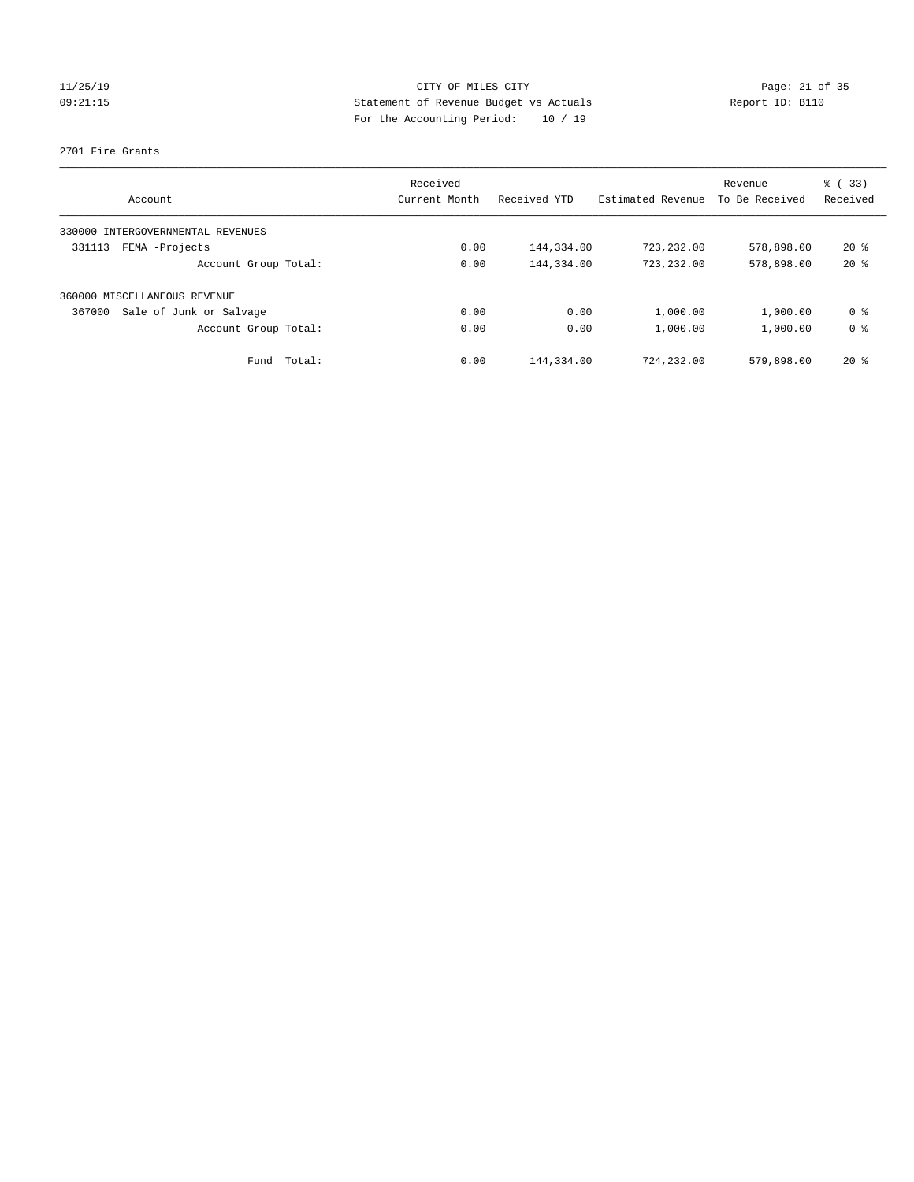# 11/25/19 Page: 21 of 35 09:21:15 Statement of Revenue Budget vs Actuals Report ID: B110 For the Accounting Period: 10 / 19

### 2701 Fire Grants

| Account                              | Received<br>Current Month | Received YTD | Estimated Revenue | Revenue<br>To Be Received | % (33)<br>Received |
|--------------------------------------|---------------------------|--------------|-------------------|---------------------------|--------------------|
|                                      |                           |              |                   |                           |                    |
| INTERGOVERNMENTAL REVENUES<br>330000 |                           |              |                   |                           |                    |
| FEMA -Projects<br>331113             | 0.00                      | 144,334.00   | 723,232.00        | 578,898.00                | $20*$              |
| Account Group Total:                 | 0.00                      | 144,334.00   | 723,232.00        | 578,898.00                | $20*$              |
| 360000 MISCELLANEOUS REVENUE         |                           |              |                   |                           |                    |
| Sale of Junk or Salvage<br>367000    | 0.00                      | 0.00         | 1,000.00          | 1,000.00                  | 0 %                |
| Account Group Total:                 | 0.00                      | 0.00         | 1,000.00          | 1,000.00                  | 0 <sup>8</sup>     |
| Total:<br>Fund                       | 0.00                      | 144,334.00   | 724,232.00        | 579,898.00                | $20*$              |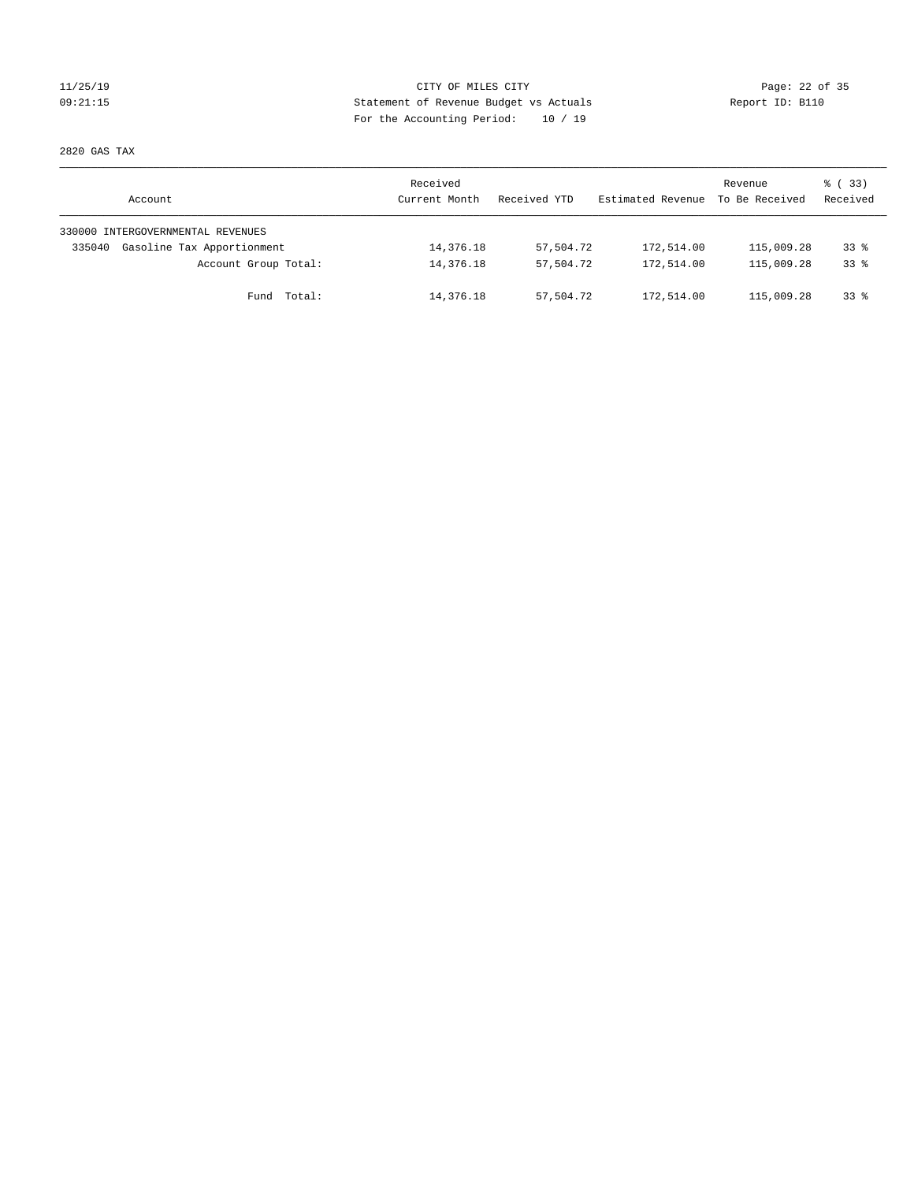### 11/25/19 CITY OF MILES CITY Page: 22 of 35 09:21:15 Statement of Revenue Budget vs Actuals Report ID: B110 For the Accounting Period: 10 / 19

2820 GAS TAX

| Account                              | Received<br>Current Month | Received YTD | Estimated Revenue | Revenue<br>To Be Received | 8 (33)<br>Received |
|--------------------------------------|---------------------------|--------------|-------------------|---------------------------|--------------------|
| 330000 INTERGOVERNMENTAL REVENUES    |                           |              |                   |                           |                    |
| Gasoline Tax Apportionment<br>335040 | 14,376.18                 | 57,504.72    | 172,514.00        | 115,009.28                | $33*$              |
| Account Group Total:                 | 14,376.18                 | 57,504.72    | 172,514.00        | 115,009.28                | $33*$              |
| Fund Total:                          | 14,376.18                 | 57,504.72    | 172,514.00        | 115,009.28                | $33*$              |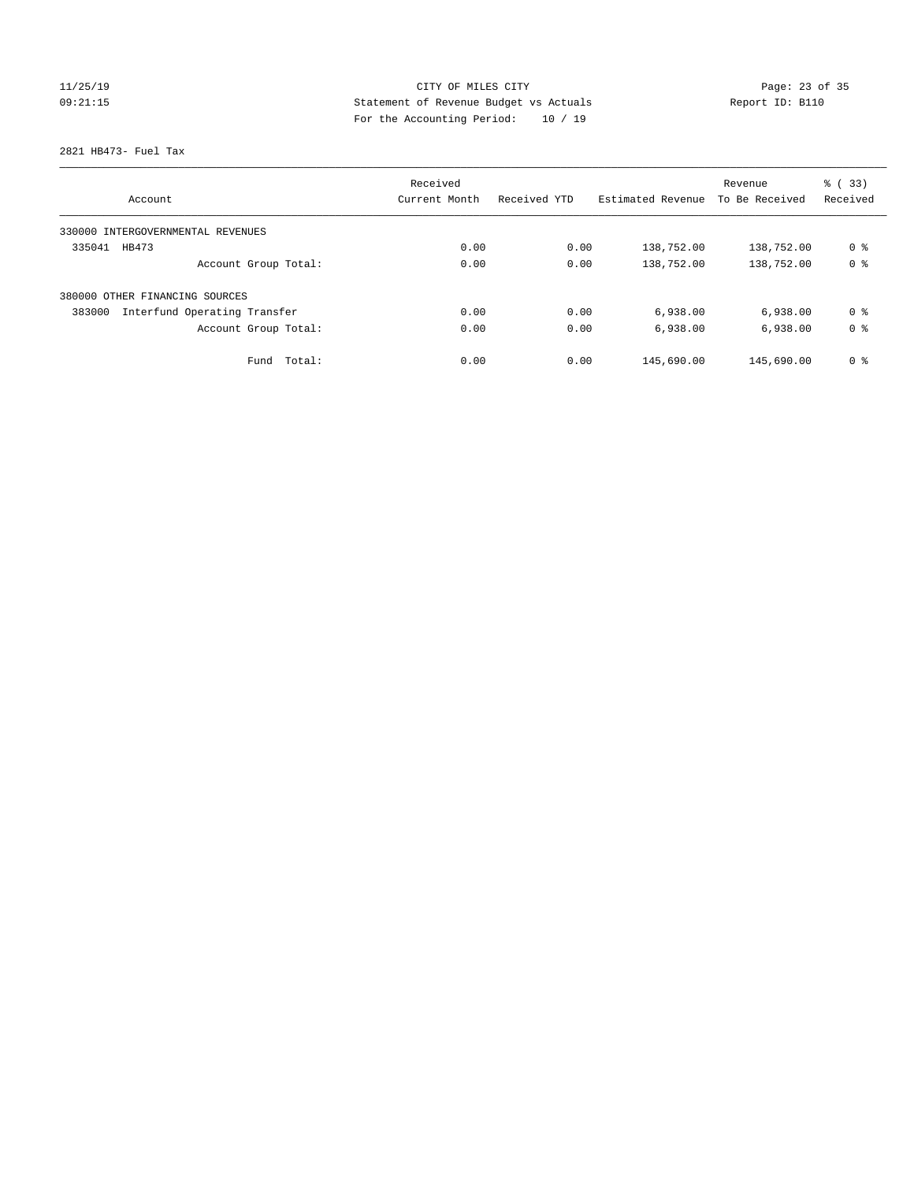# 11/25/19 Page: 23 of 35 09:21:15 Statement of Revenue Budget vs Actuals Report ID: B110 For the Accounting Period: 10 / 19

2821 HB473- Fuel Tax

|                                        | Received      |              |                   | Revenue        | % (33)         |
|----------------------------------------|---------------|--------------|-------------------|----------------|----------------|
| Account                                | Current Month | Received YTD | Estimated Revenue | To Be Received | Received       |
| 330000 INTERGOVERNMENTAL REVENUES      |               |              |                   |                |                |
| 335041<br>HB473                        | 0.00          | 0.00         | 138,752.00        | 138,752.00     | 0 %            |
| Account Group Total:                   | 0.00          | 0.00         | 138,752.00        | 138,752.00     | 0 <sup>8</sup> |
| 380000 OTHER FINANCING SOURCES         |               |              |                   |                |                |
| 383000<br>Interfund Operating Transfer | 0.00          | 0.00         | 6,938.00          | 6,938.00       | 0 <sup>8</sup> |
| Account Group Total:                   | 0.00          | 0.00         | 6,938.00          | 6,938.00       | 0 <sup>8</sup> |
| Total:<br>Fund                         | 0.00          | 0.00         | 145,690.00        | 145,690.00     | 0 <sup>8</sup> |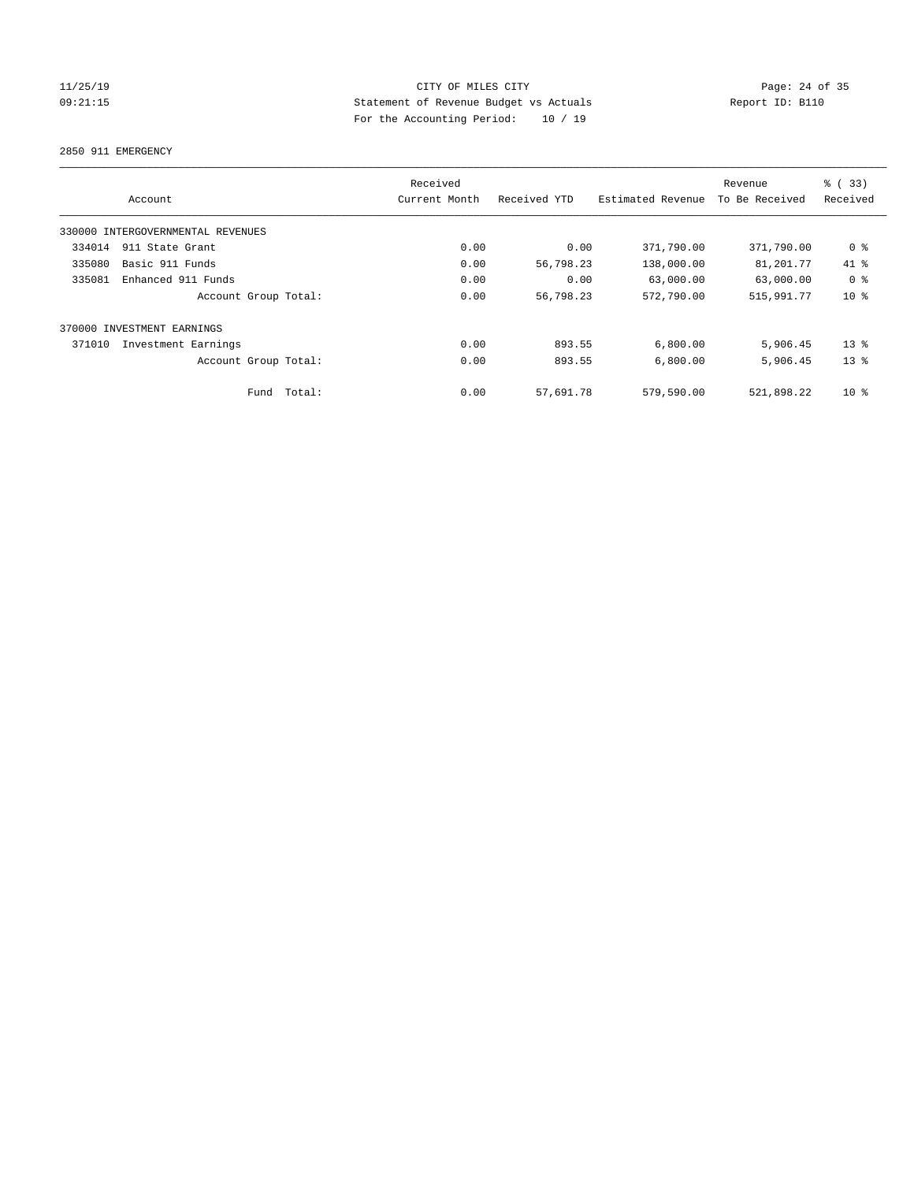# 11/25/19 Page: 24 of 35 09:21:15 Statement of Revenue Budget vs Actuals Report ID: B110 For the Accounting Period: 10 / 19

2850 911 EMERGENCY

|        | Account                           |        | Received<br>Current Month | Received YTD | Estimated Revenue | Revenue<br>To Be Received | % (33)<br>Received |
|--------|-----------------------------------|--------|---------------------------|--------------|-------------------|---------------------------|--------------------|
|        | 330000 INTERGOVERNMENTAL REVENUES |        |                           |              |                   |                           |                    |
| 334014 | 911 State Grant                   |        | 0.00                      | 0.00         | 371,790.00        | 371,790.00                | 0 %                |
| 335080 | Basic 911 Funds                   |        | 0.00                      | 56,798.23    | 138,000.00        | 81,201.77                 | 41 %               |
| 335081 | Enhanced 911 Funds                |        | 0.00                      | 0.00         | 63,000.00         | 63,000.00                 | 0 <sup>8</sup>     |
|        | Account Group Total:              |        | 0.00                      | 56,798.23    | 572,790.00        | 515,991.77                | $10*$              |
|        | 370000 INVESTMENT EARNINGS        |        |                           |              |                   |                           |                    |
| 371010 | Investment Earnings               |        | 0.00                      | 893.55       | 6,800.00          | 5,906.45                  | $13*$              |
|        | Account Group Total:              |        | 0.00                      | 893.55       | 6,800.00          | 5,906.45                  | $13*$              |
|        | Fund                              | Total: | 0.00                      | 57,691.78    | 579,590.00        | 521,898.22                | $10*$              |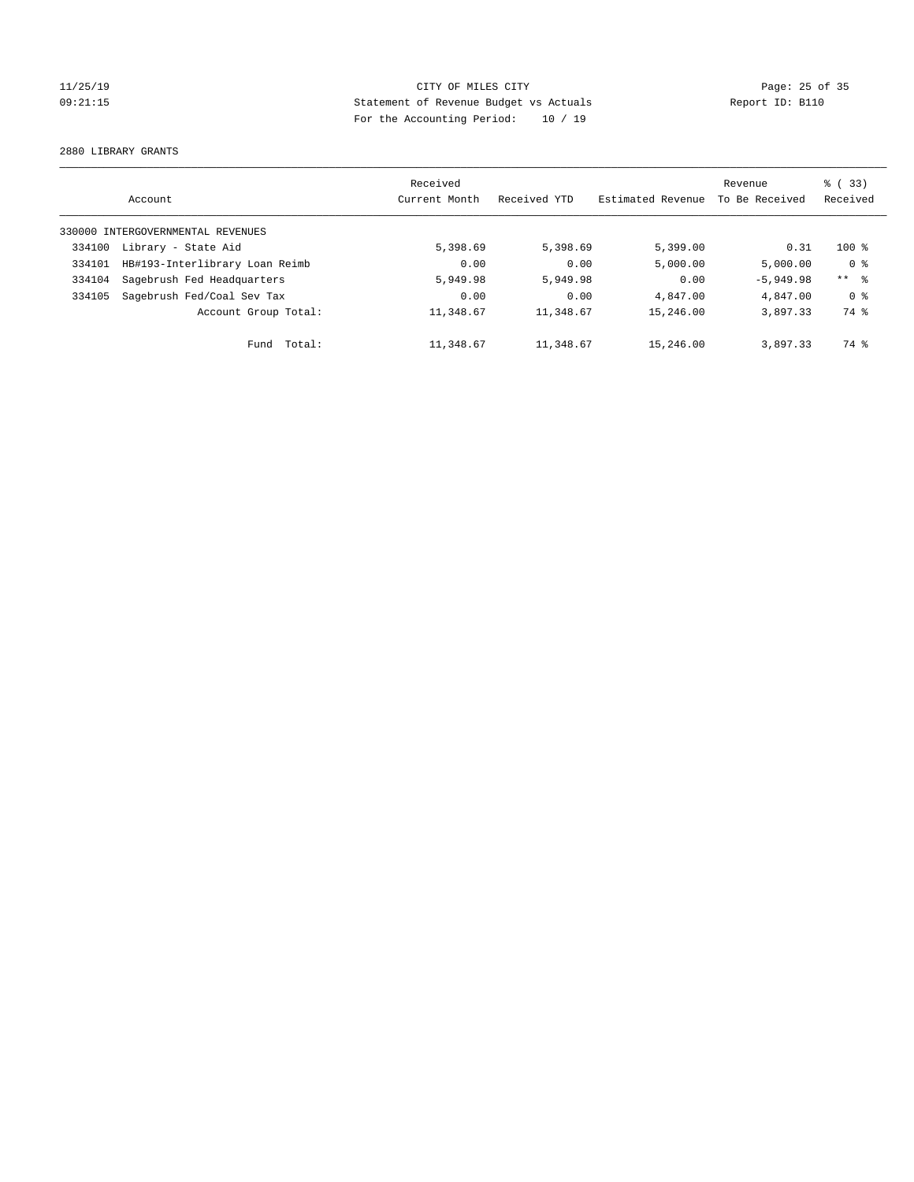# 11/25/19 Page: 25 of 35 09:21:15 Statement of Revenue Budget vs Actuals Report ID: B110 For the Accounting Period: 10 / 19

2880 LIBRARY GRANTS

|        | Account                           | Received<br>Current Month | Received YTD | Estimated Revenue | Revenue<br>To Be Received | $\frac{1}{6}$ (33)<br>Received |
|--------|-----------------------------------|---------------------------|--------------|-------------------|---------------------------|--------------------------------|
|        | 330000 INTERGOVERNMENTAL REVENUES |                           |              |                   |                           |                                |
| 334100 | Library - State Aid               | 5,398.69                  | 5,398.69     | 5,399.00          | 0.31                      | $100*$                         |
| 334101 | HB#193-Interlibrary Loan Reimb    | 0.00                      | 0.00         | 5,000.00          | 5,000.00                  | 0 <sup>8</sup>                 |
| 334104 | Sagebrush Fed Headquarters        | 5,949.98                  | 5,949.98     | 0.00              | $-5.949.98$               | $***$ $ -$                     |
| 334105 | Sagebrush Fed/Coal Sev Tax        | 0.00                      | 0.00         | 4,847,00          | 4,847.00                  | 0 <sup>8</sup>                 |
|        | Account Group Total:              | 11,348.67                 | 11,348.67    | 15,246.00         | 3,897.33                  | 74 %                           |
|        | Fund Total:                       | 11,348.67                 | 11,348.67    | 15,246.00         | 3,897.33                  | 74 %                           |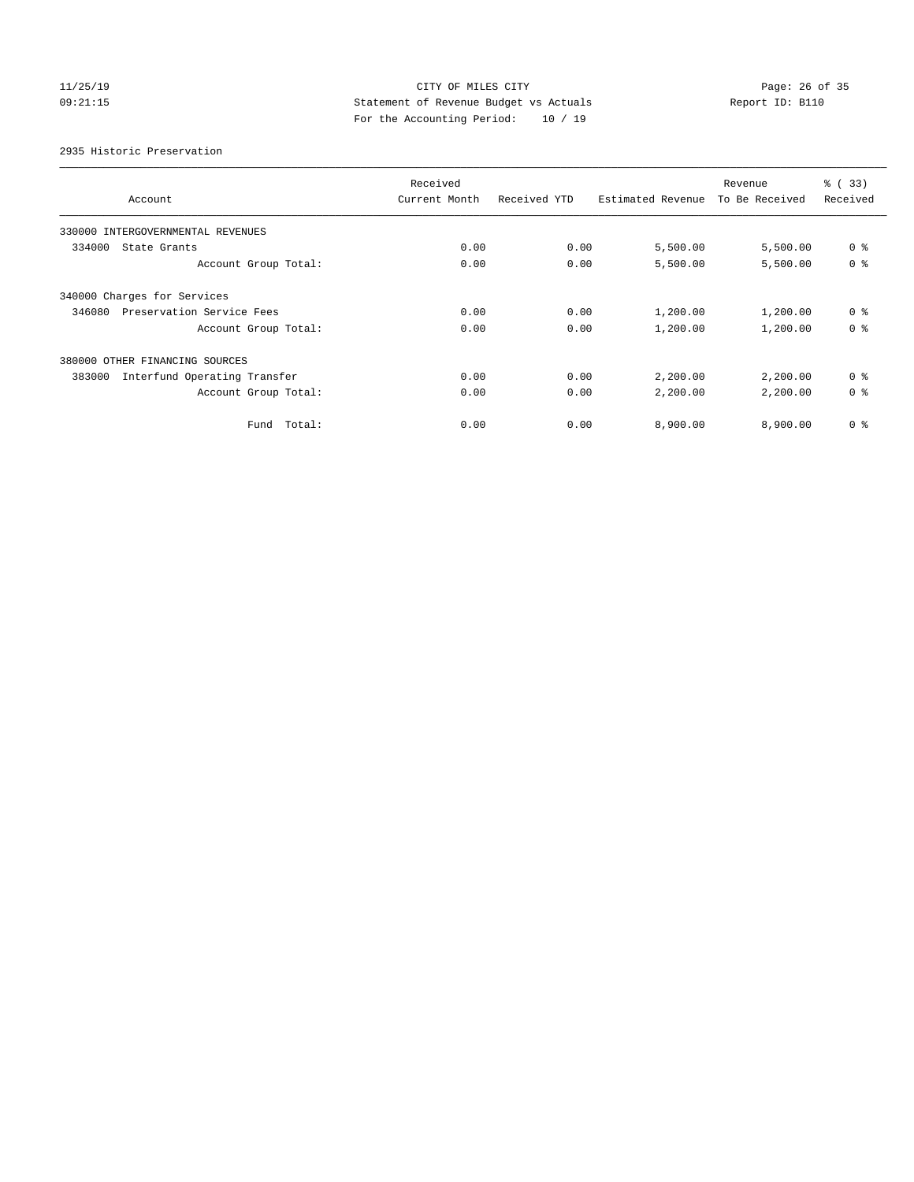# 11/25/19 Page: 26 of 35 09:21:15 Statement of Revenue Budget vs Actuals Report ID: B110 For the Accounting Period: 10 / 19

2935 Historic Preservation

|                                        | Received      |              |                   | Revenue        | % (33)         |
|----------------------------------------|---------------|--------------|-------------------|----------------|----------------|
| Account                                | Current Month | Received YTD | Estimated Revenue | To Be Received | Received       |
| 330000 INTERGOVERNMENTAL REVENUES      |               |              |                   |                |                |
| 334000<br>State Grants                 | 0.00          | 0.00         | 5,500.00          | 5,500.00       | 0 <sup>8</sup> |
| Account Group Total:                   | 0.00          | 0.00         | 5,500.00          | 5,500.00       | 0 <sup>8</sup> |
| 340000 Charges for Services            |               |              |                   |                |                |
| 346080<br>Preservation Service Fees    | 0.00          | 0.00         | 1,200.00          | 1,200.00       | 0 <sup>8</sup> |
| Account Group Total:                   | 0.00          | 0.00         | 1,200.00          | 1,200.00       | 0 <sup>8</sup> |
| 380000 OTHER FINANCING SOURCES         |               |              |                   |                |                |
| Interfund Operating Transfer<br>383000 | 0.00          | 0.00         | 2,200.00          | 2,200.00       | 0 <sup>8</sup> |
| Account Group Total:                   | 0.00          | 0.00         | 2,200.00          | 2,200.00       | 0 <sup>8</sup> |
| Total:<br>Fund                         | 0.00          | 0.00         | 8,900.00          | 8,900.00       | 0 <sup>8</sup> |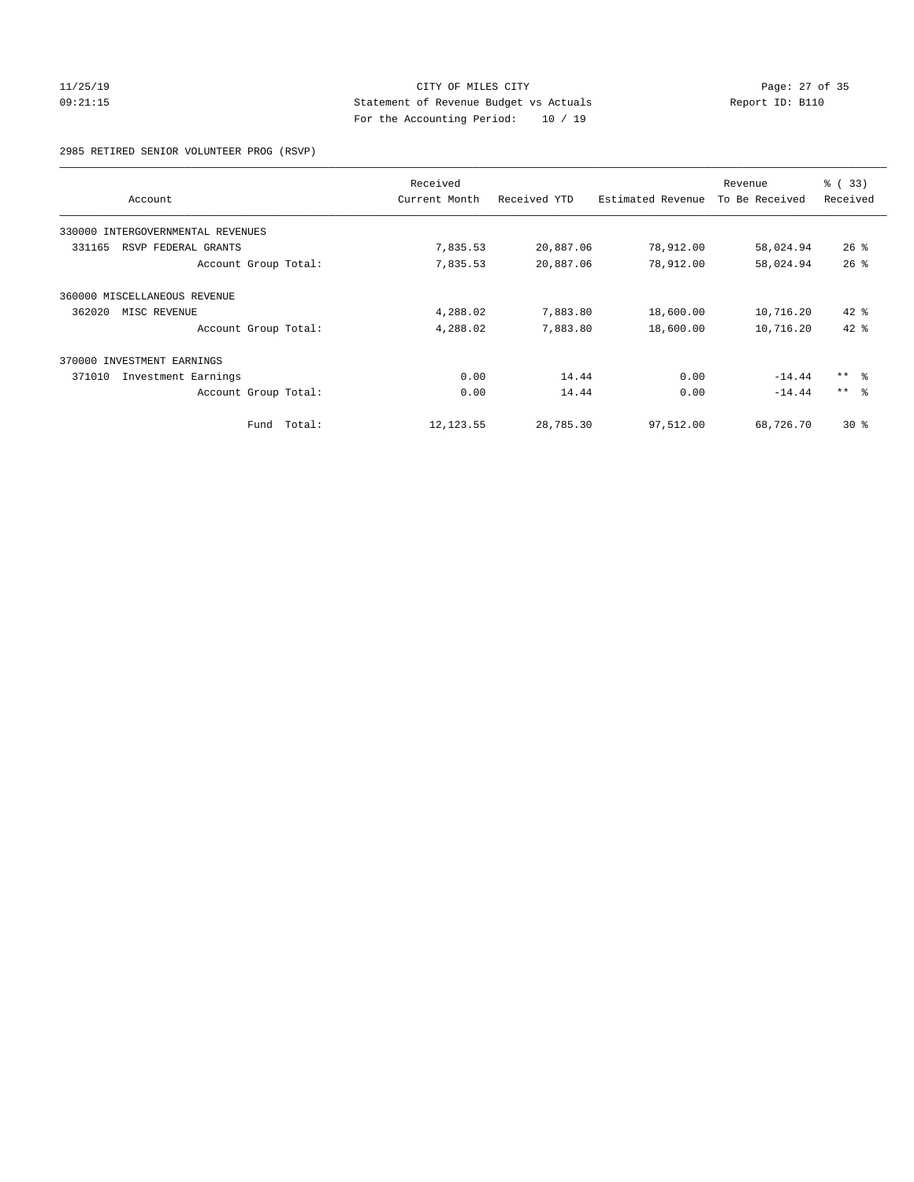### 11/25/19 Page: 27 of 35 09:21:15 Statement of Revenue Budget vs Actuals Report ID: B110 For the Accounting Period: 10 / 19

2985 RETIRED SENIOR VOLUNTEER PROG (RSVP)

|                                   |        | Received      |              |                   | Revenue        | % (33)          |
|-----------------------------------|--------|---------------|--------------|-------------------|----------------|-----------------|
| Account                           |        | Current Month | Received YTD | Estimated Revenue | To Be Received | Received        |
| 330000 INTERGOVERNMENTAL REVENUES |        |               |              |                   |                |                 |
| 331165<br>RSVP FEDERAL GRANTS     |        | 7,835.53      | 20,887.06    | 78,912.00         | 58,024.94      | $26$ %          |
| Account Group Total:              |        | 7,835.53      | 20,887.06    | 78,912.00         | 58,024.94      | 26%             |
| 360000 MISCELLANEOUS REVENUE      |        |               |              |                   |                |                 |
| 362020<br>MISC REVENUE            |        | 4,288.02      | 7,883.80     | 18,600.00         | 10,716.20      | $42$ $%$        |
| Account Group Total:              |        | 4,288.02      | 7,883.80     | 18,600.00         | 10,716.20      | $42$ $%$        |
| 370000 INVESTMENT EARNINGS        |        |               |              |                   |                |                 |
| 371010<br>Investment Earnings     |        | 0.00          | 14.44        | 0.00              | $-14.44$       | $***$ $ -$      |
| Account Group Total:              |        | 0.00          | 14.44        | 0.00              | $-14.44$       | $***$ $\approx$ |
| Fund                              | Total: | 12, 123.55    | 28,785.30    | 97,512.00         | 68,726.70      | $30*$           |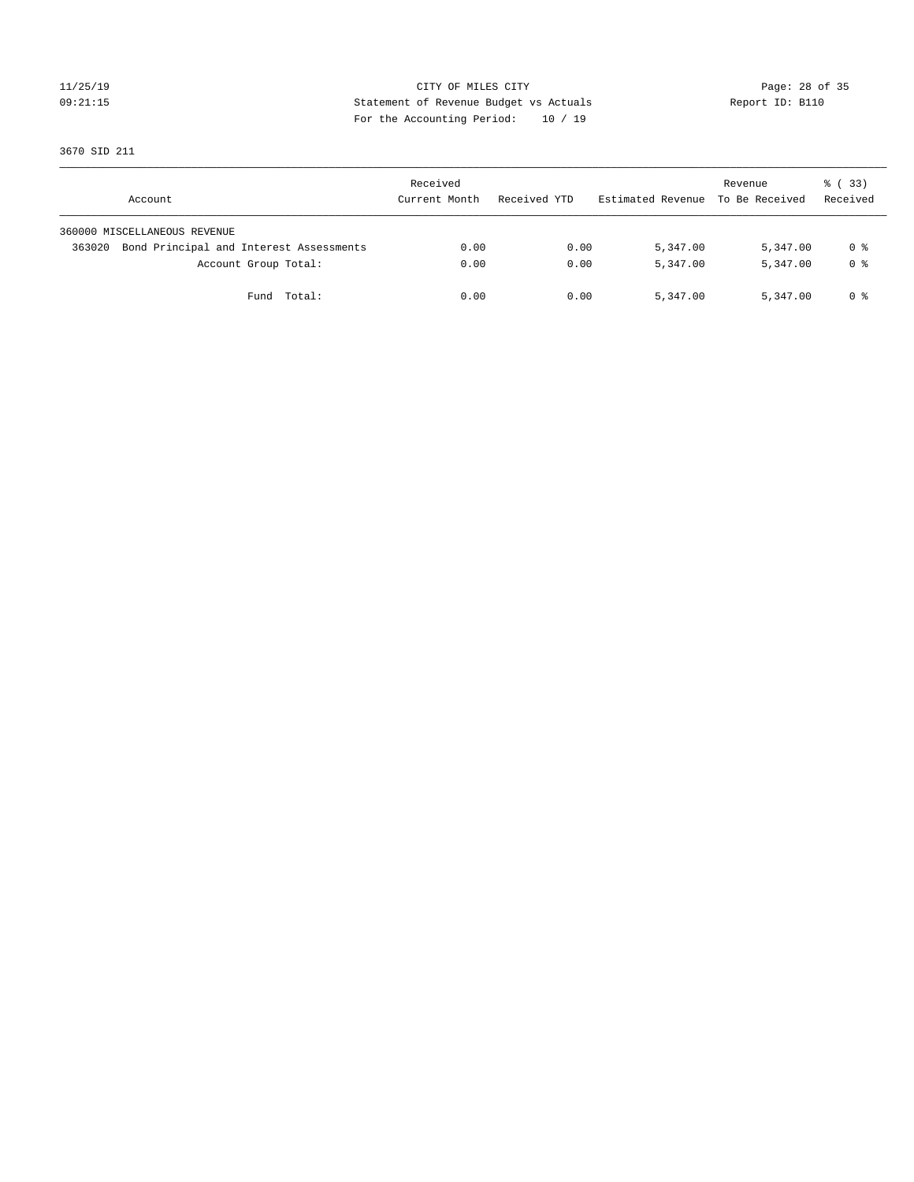# 11/25/19 Page: 28 of 35 09:21:15 Statement of Revenue Budget vs Actuals Report ID: B110 For the Accounting Period: 10 / 19

3670 SID 211

| Account                                           | Received<br>Current Month | Received YTD | Estimated Revenue | Revenue<br>To Be Received | 8 (33)<br>Received |
|---------------------------------------------------|---------------------------|--------------|-------------------|---------------------------|--------------------|
| 360000 MISCELLANEOUS REVENUE                      |                           |              |                   |                           |                    |
| Bond Principal and Interest Assessments<br>363020 | 0.00                      | 0.00         | 5,347.00          | 5,347.00                  | 0 %                |
| Account Group Total:                              | 0.00                      | 0.00         | 5,347.00          | 5,347.00                  | 0 %                |
| Total:<br>Fund                                    | 0.00                      | 0.00         | 5,347.00          | 5,347.00                  | 0 %                |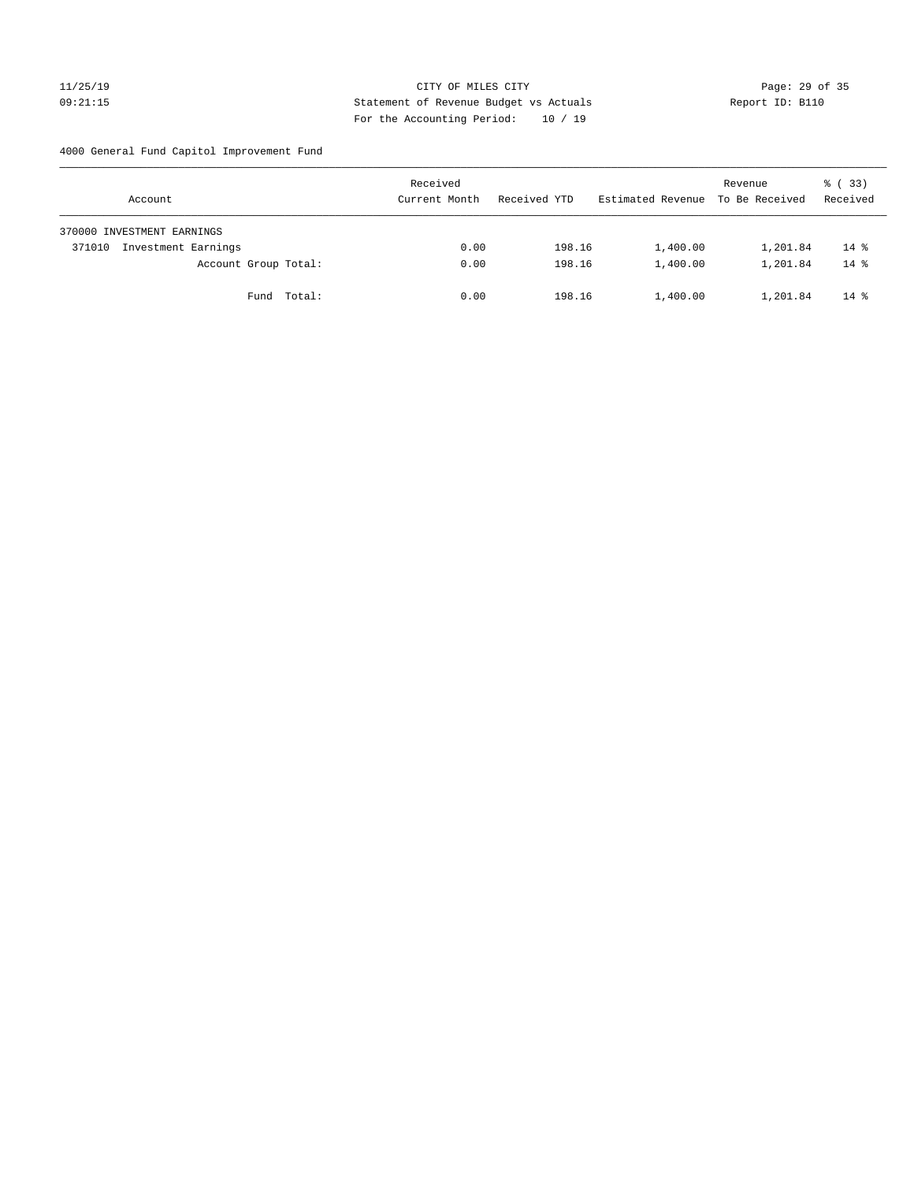### 11/25/19 CITY OF MILES CITY Page: 29 of 35 09:21:15 Statement of Revenue Budget vs Actuals Report ID: B110 For the Accounting Period: 10 / 19

4000 General Fund Capitol Improvement Fund

| Account                       | Received<br>Current Month | Received YTD | Estimated Revenue | Revenue<br>To Be Received | 8 (33)<br>Received |
|-------------------------------|---------------------------|--------------|-------------------|---------------------------|--------------------|
| 370000 INVESTMENT EARNINGS    |                           |              |                   |                           |                    |
| Investment Earnings<br>371010 | 0.00                      | 198.16       | 1,400.00          | 1,201.84                  | $14*$              |
| Account Group Total:          | 0.00                      | 198.16       | 1,400.00          | 1,201.84                  | $14*$              |
| Fund Total:                   | 0.00                      | 198.16       | 1,400.00          | 1,201.84                  | $14*$              |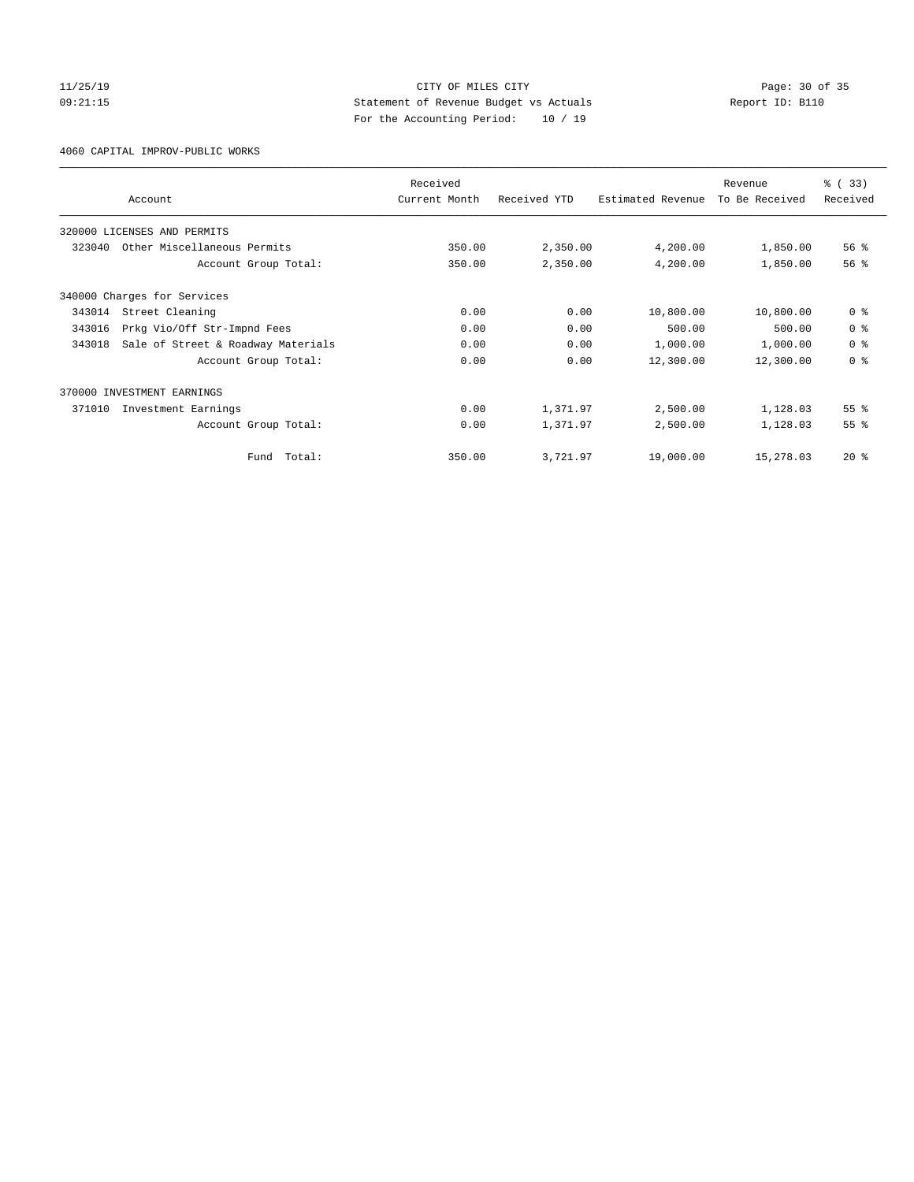### 11/25/19 CITY OF MILES CITY Page: 30 of 35 09:21:15 Statement of Revenue Budget vs Actuals Report ID: B110 For the Accounting Period: 10 / 19

4060 CAPITAL IMPROV-PUBLIC WORKS

|        |                                    | Received      |              |                   | Revenue        | % (33)          |
|--------|------------------------------------|---------------|--------------|-------------------|----------------|-----------------|
|        | Account                            | Current Month | Received YTD | Estimated Revenue | To Be Received | Received        |
|        | 320000 LICENSES AND PERMITS        |               |              |                   |                |                 |
| 323040 | Other Miscellaneous Permits        | 350.00        | 2,350.00     | 4,200.00          | 1,850.00       | 56 <sup>8</sup> |
|        | Account Group Total:               | 350.00        | 2,350.00     | 4,200.00          | 1,850.00       | 56%             |
|        | 340000 Charges for Services        |               |              |                   |                |                 |
| 343014 | Street Cleaning                    | 0.00          | 0.00         | 10,800.00         | 10,800.00      | 0 <sup>8</sup>  |
| 343016 | Prkg Vio/Off Str-Impnd Fees        | 0.00          | 0.00         | 500.00            | 500.00         | 0 <sup>8</sup>  |
| 343018 | Sale of Street & Roadway Materials | 0.00          | 0.00         | 1,000.00          | 1,000.00       | 0 <sup>8</sup>  |
|        | Account Group Total:               | 0.00          | 0.00         | 12,300.00         | 12,300.00      | 0 <sup>8</sup>  |
|        | 370000 INVESTMENT EARNINGS         |               |              |                   |                |                 |
| 371010 | Investment Earnings                | 0.00          | 1,371.97     | 2,500.00          | 1,128.03       | 55 <sup>8</sup> |
|        | Account Group Total:               | 0.00          | 1,371.97     | 2,500.00          | 1,128.03       | 55 <sup>8</sup> |
|        | Total:<br>Fund                     | 350.00        | 3,721.97     | 19,000.00         | 15,278.03      | $20*$           |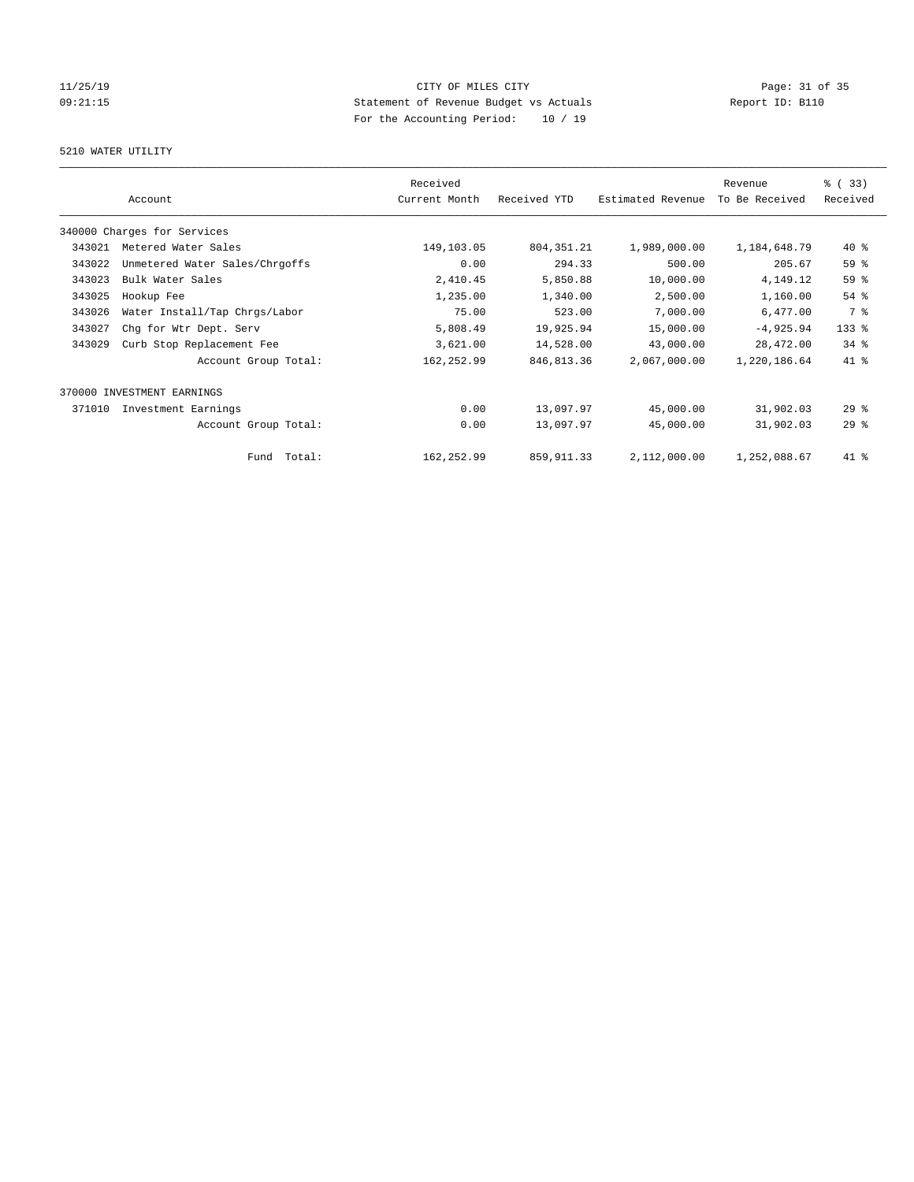# 11/25/19 Page: 31 of 35 09:21:15 Statement of Revenue Budget vs Actuals Report ID: B110 For the Accounting Period: 10 / 19

### 5210 WATER UTILITY

|        |                                | Received      |              |                   | Revenue        | % (33)   |
|--------|--------------------------------|---------------|--------------|-------------------|----------------|----------|
|        | Account                        | Current Month | Received YTD | Estimated Revenue | To Be Received | Received |
|        | 340000 Charges for Services    |               |              |                   |                |          |
| 343021 | Metered Water Sales            | 149,103.05    | 804, 351. 21 | 1,989,000.00      | 1,184,648.79   | $40*$    |
| 343022 | Unmetered Water Sales/Chrgoffs | 0.00          | 294.33       | 500.00            | 205.67         | 59 %     |
| 343023 | Bulk Water Sales               | 2,410.45      | 5,850.88     | 10,000.00         | 4,149.12       | 59 %     |
| 343025 | Hookup Fee                     | 1,235.00      | 1,340.00     | 2,500.00          | 1,160.00       | 54 %     |
| 343026 | Water Install/Tap Chrgs/Labor  | 75.00         | 523.00       | 7,000.00          | 6,477.00       | 7 %      |
| 343027 | Chg for Wtr Dept. Serv         | 5,808.49      | 19,925.94    | 15,000.00         | $-4,925.94$    | 133 %    |
| 343029 | Curb Stop Replacement Fee      | 3,621.00      | 14,528.00    | 43,000.00         | 28,472.00      | $34$ $%$ |
|        | Account Group Total:           | 162,252.99    | 846, 813.36  | 2,067,000.00      | 1,220,186.64   | 41 %     |
| 370000 | INVESTMENT EARNINGS            |               |              |                   |                |          |
| 371010 | Investment Earnings            | 0.00          | 13,097.97    | 45,000.00         | 31,902.03      | $29$ $%$ |
|        | Account Group Total:           | 0.00          | 13,097.97    | 45,000.00         | 31,902.03      | 29%      |
|        | Total:<br>Fund                 | 162,252.99    | 859, 911.33  | 2,112,000.00      | 1,252,088.67   | 41 %     |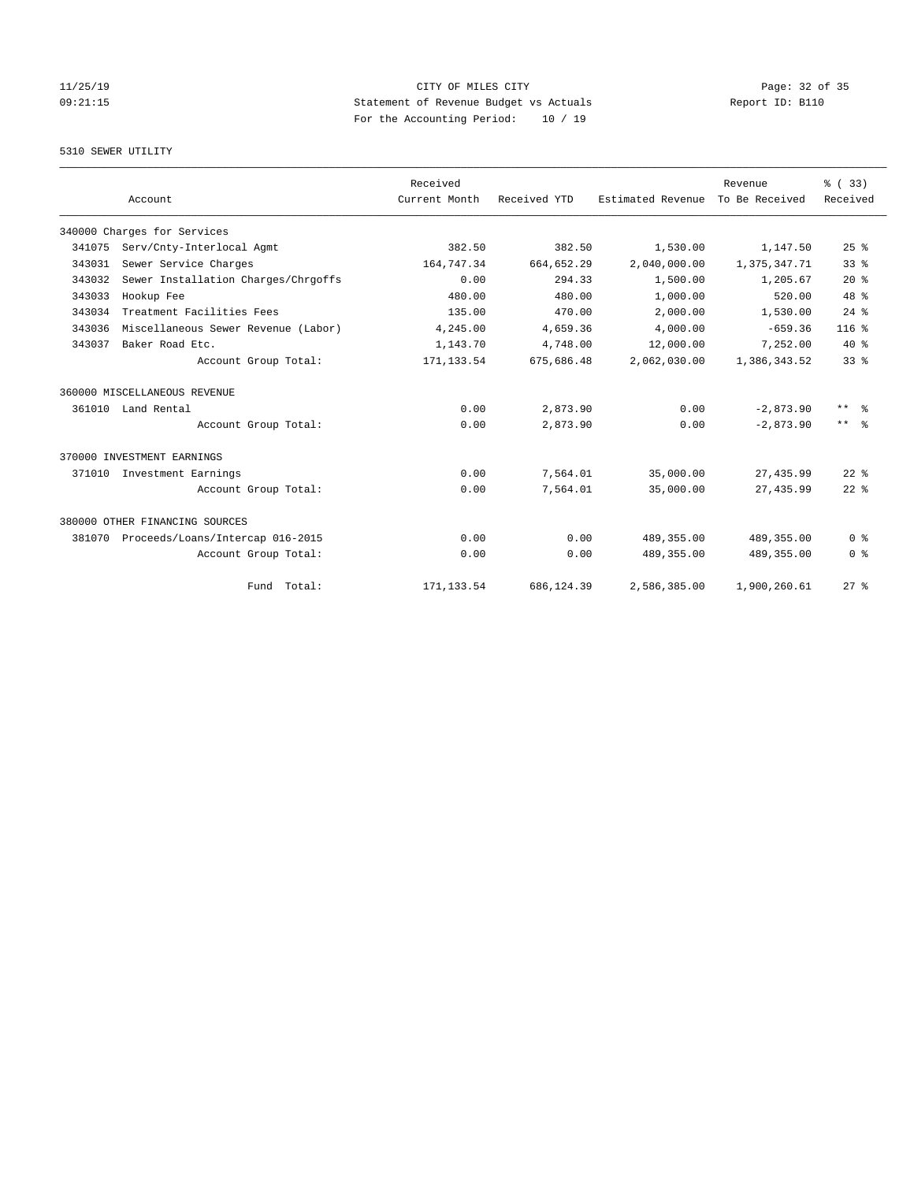# 11/25/19 Page: 32 of 35 09:21:15 Statement of Revenue Budget vs Actuals Report ID: B110 For the Accounting Period: 10 / 19

### 5310 SEWER UTILITY

|        |                                     | Received      |              |                   | Revenue        | % (33)          |
|--------|-------------------------------------|---------------|--------------|-------------------|----------------|-----------------|
|        | Account                             | Current Month | Received YTD | Estimated Revenue | To Be Received | Received        |
|        | 340000 Charges for Services         |               |              |                   |                |                 |
| 341075 | Serv/Cnty-Interlocal Agmt           | 382.50        | 382.50       | 1,530.00          | 1,147.50       | 25%             |
| 343031 | Sewer Service Charges               | 164,747.34    | 664,652.29   | 2,040,000.00      | 1,375,347.71   | 33 <sup>8</sup> |
| 343032 | Sewer Installation Charges/Chrgoffs | 0.00          | 294.33       | 1,500.00          | 1,205.67       | $20*$           |
| 343033 | Hookup Fee                          | 480.00        | 480.00       | 1,000.00          | 520.00         | 48 %            |
| 343034 | Treatment Facilities Fees           | 135.00        | 470.00       | 2,000.00          | 1,530.00       | $24$ $%$        |
| 343036 | Miscellaneous Sewer Revenue (Labor) | 4,245.00      | 4,659.36     | 4,000.00          | $-659.36$      | $116*$          |
| 343037 | Baker Road Etc.                     | 1,143.70      | 4,748.00     | 12,000.00         | 7,252.00       | $40*$           |
|        | Account Group Total:                | 171, 133.54   | 675,686.48   | 2,062,030.00      | 1,386,343.52   | 33 <sup>8</sup> |
|        | 360000 MISCELLANEOUS REVENUE        |               |              |                   |                |                 |
|        | 361010 Land Rental                  | 0.00          | 2,873.90     | 0.00              | $-2,873.90$    | $***$ $=$       |
|        | Account Group Total:                | 0.00          | 2,873.90     | 0.00              | $-2,873.90$    | $***$ $ -$      |
|        | 370000 INVESTMENT EARNINGS          |               |              |                   |                |                 |
| 371010 | Investment Earnings                 | 0.00          | 7,564.01     | 35,000.00         | 27, 435.99     | $22$ $%$        |
|        | Account Group Total:                | 0.00          | 7,564.01     | 35,000.00         | 27, 435.99     | $22$ $%$        |
|        | 380000 OTHER FINANCING SOURCES      |               |              |                   |                |                 |
| 381070 | Proceeds/Loans/Intercap 016-2015    | 0.00          | 0.00         | 489,355.00        | 489,355.00     | 0 <sup>8</sup>  |
|        | Account Group Total:                | 0.00          | 0.00         | 489, 355.00       | 489,355.00     | 0 <sup>8</sup>  |
|        | Fund Total:                         | 171, 133.54   | 686,124.39   | 2,586,385.00      | 1,900,260.61   | $27$ $%$        |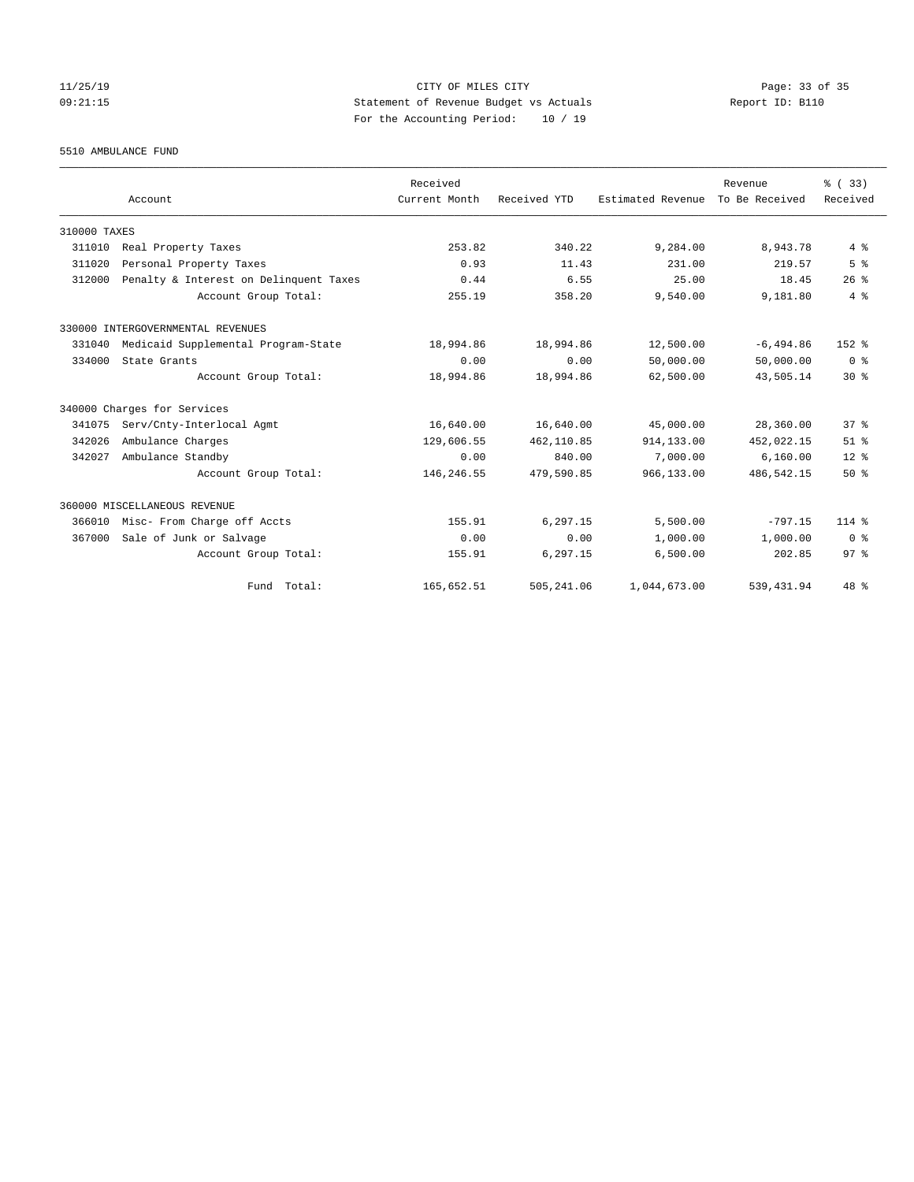# 11/25/19 Page: 33 of 35 09:21:15 Statement of Revenue Budget vs Actuals Report ID: B110 For the Accounting Period: 10 / 19

5510 AMBULANCE FUND

|              |                                        | Received      |              |                   | Revenue        | % (33)          |
|--------------|----------------------------------------|---------------|--------------|-------------------|----------------|-----------------|
|              | Account                                | Current Month | Received YTD | Estimated Revenue | To Be Received | Received        |
| 310000 TAXES |                                        |               |              |                   |                |                 |
| 311010       | Real Property Taxes                    | 253.82        | 340.22       | 9,284.00          | 8,943.78       | 4%              |
| 311020       | Personal Property Taxes                | 0.93          | 11.43        | 231.00            | 219.57         | 5 <sup>8</sup>  |
| 312000       | Penalty & Interest on Delinquent Taxes | 0.44          | 6.55         | 25.00             | 18.45          | 26%             |
|              | Account Group Total:                   | 255.19        | 358.20       | 9,540.00          | 9,181.80       | 4%              |
|              | 330000 INTERGOVERNMENTAL REVENUES      |               |              |                   |                |                 |
| 331040       | Medicaid Supplemental Program-State    | 18,994.86     | 18,994.86    | 12,500.00         | $-6, 494.86$   | 152 %           |
| 334000       | State Grants                           | 0.00          | 0.00         | 50,000.00         | 50,000.00      | 0 <sup>8</sup>  |
|              | Account Group Total:                   | 18,994.86     | 18,994.86    | 62,500.00         | 43,505.14      | $30*$           |
|              | 340000 Charges for Services            |               |              |                   |                |                 |
| 341075       | Serv/Cnty-Interlocal Agmt              | 16,640.00     | 16,640.00    | 45,000.00         | 28,360.00      | 37%             |
| 342026       | Ambulance Charges                      | 129,606.55    | 462,110.85   | 914,133.00        | 452,022.15     | $51$ %          |
| 342027       | Ambulance Standby                      | 0.00          | 840.00       | 7,000.00          | 6,160.00       | $12*$           |
|              | Account Group Total:                   | 146,246.55    | 479,590.85   | 966,133.00        | 486,542.15     | $50*$           |
|              | 360000 MISCELLANEOUS REVENUE           |               |              |                   |                |                 |
| 366010       | Misc- From Charge off Accts            | 155.91        | 6.297.15     | 5,500.00          | $-797.15$      | $114*$          |
| 367000       | Sale of Junk or Salvage                | 0.00          | 0.00         | 1,000.00          | 1,000.00       | 0 <sup>8</sup>  |
|              | Account Group Total:                   | 155.91        | 6,297.15     | 6,500.00          | 202.85         | 97 <sup>8</sup> |
|              | Fund Total:                            | 165,652.51    | 505,241.06   | 1,044,673.00      | 539, 431.94    | 48 %            |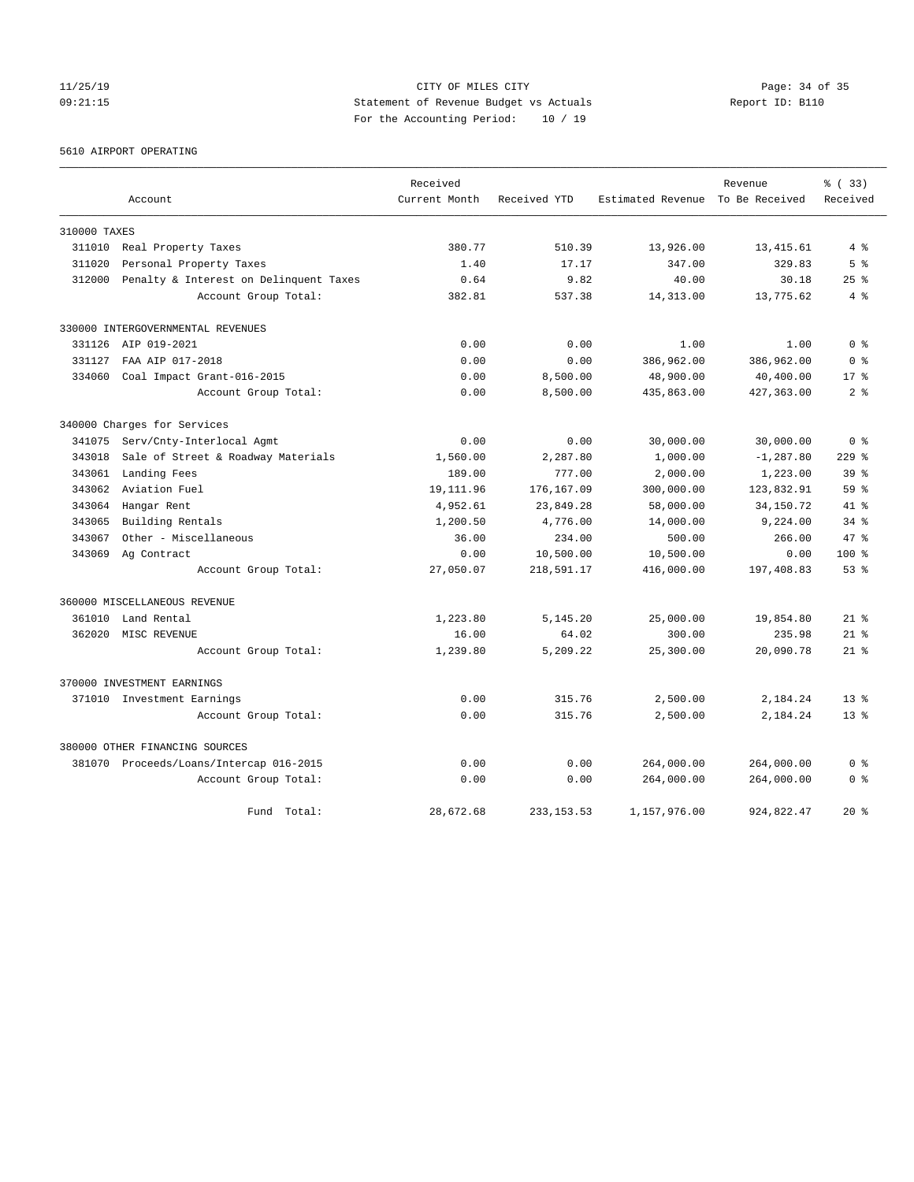# 11/25/19 Page: 34 of 35 09:21:15 Statement of Revenue Budget vs Actuals Report ID: B110 For the Accounting Period: 10 / 19

5610 AIRPORT OPERATING

|              |                                         | Received      |              |                                  | Revenue      | % (33)          |
|--------------|-----------------------------------------|---------------|--------------|----------------------------------|--------------|-----------------|
|              | Account                                 | Current Month | Received YTD | Estimated Revenue To Be Received |              | Received        |
| 310000 TAXES |                                         |               |              |                                  |              |                 |
| 311010       | Real Property Taxes                     | 380.77        | 510.39       | 13,926.00                        | 13,415.61    | $4\degree$      |
| 311020       | Personal Property Taxes                 | 1.40          | 17.17        | 347.00                           | 329.83       | 5 <sup>8</sup>  |
| 312000       | Penalty & Interest on Delinquent Taxes  | 0.64          | 9.82         | 40.00                            | 30.18        | 25%             |
|              | Account Group Total:                    | 382.81        | 537.38       | 14,313.00                        | 13,775.62    | 4%              |
|              | 330000 INTERGOVERNMENTAL REVENUES       |               |              |                                  |              |                 |
|              | 331126 AIP 019-2021                     | 0.00          | 0.00         | 1.00                             | 1.00         | 0 <sup>8</sup>  |
| 331127       | FAA AIP 017-2018                        | 0.00          | 0.00         | 386,962.00                       | 386,962.00   | 0 <sup>8</sup>  |
| 334060       | Coal Impact Grant-016-2015              | 0.00          | 8,500.00     | 48,900.00                        | 40,400.00    | $17*$           |
|              | Account Group Total:                    | 0.00          | 8,500.00     | 435,863.00                       | 427, 363.00  | 2 <sup>8</sup>  |
|              | 340000 Charges for Services             |               |              |                                  |              |                 |
| 341075       | Serv/Cnty-Interlocal Agmt               | 0.00          | 0.00         | 30,000.00                        | 30,000.00    | 0 <sup>8</sup>  |
| 343018       | Sale of Street & Roadway Materials      | 1,560.00      | 2,287.80     | 1,000.00                         | $-1, 287.80$ | $229$ $%$       |
| 343061       | Landing Fees                            | 189.00        | 777.00       | 2,000.00                         | 1,223.00     | 39 <sup>8</sup> |
| 343062       | Aviation Fuel                           | 19, 111.96    | 176,167.09   | 300,000.00                       | 123,832.91   | 59 <sup>8</sup> |
| 343064       | Hangar Rent                             | 4,952.61      | 23,849.28    | 58,000.00                        | 34,150.72    | $41*$           |
| 343065       | Building Rentals                        | 1,200.50      | 4,776.00     | 14,000.00                        | 9,224.00     | $34$ $%$        |
| 343067       | Other - Miscellaneous                   | 36.00         | 234.00       | 500.00                           | 266.00       | 47 %            |
| 343069       | Ag Contract                             | 0.00          | 10,500.00    | 10,500.00                        | 0.00         | $100*$          |
|              | Account Group Total:                    | 27,050.07     | 218,591.17   | 416,000.00                       | 197,408.83   | 53%             |
|              | 360000 MISCELLANEOUS REVENUE            |               |              |                                  |              |                 |
| 361010       | Land Rental                             | 1,223.80      | 5,145.20     | 25,000.00                        | 19,854.80    | $21*$           |
| 362020       | MISC REVENUE                            | 16.00         | 64.02        | 300.00                           | 235.98       | $21*$           |
|              | Account Group Total:                    | 1,239.80      | 5,209.22     | 25,300.00                        | 20,090.78    | $21$ %          |
|              | 370000 INVESTMENT EARNINGS              |               |              |                                  |              |                 |
|              | 371010 Investment Earnings              | 0.00          | 315.76       | 2,500.00                         | 2,184.24     | $13*$           |
|              | Account Group Total:                    | 0.00          | 315.76       | 2,500.00                         | 2,184.24     | $13*$           |
|              | 380000 OTHER FINANCING SOURCES          |               |              |                                  |              |                 |
|              | 381070 Proceeds/Loans/Intercap 016-2015 | 0.00          | 0.00         | 264,000.00                       | 264,000.00   | 0 <sup>8</sup>  |
|              | Account Group Total:                    | 0.00          | 0.00         | 264,000.00                       | 264,000.00   | 0 <sup>8</sup>  |
|              | Fund Total:                             | 28,672.68     | 233, 153.53  | 1,157,976.00                     | 924,822.47   | $20*$           |